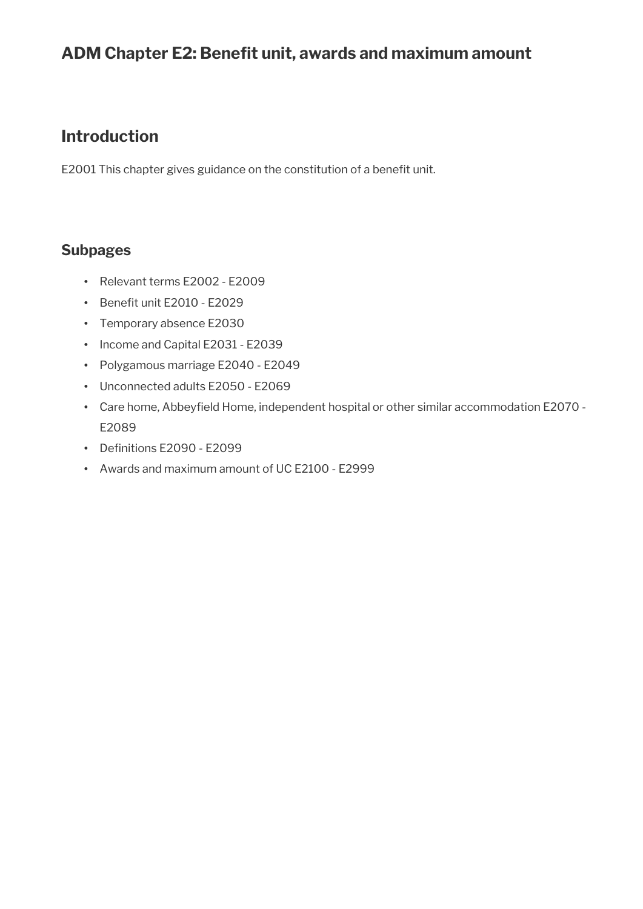# ADM Chapter E2: Benefit unit, awards and maximum amount

## **Introduction**

E2001 This chapter gives guidance on the constitution of a benefit unit.

## **Subpages**

- Relevant terms E2002 E2009
- Benefit unit E2010 E2029
- Temporary absence E2030
- Income and Capital E2031 E2039
- Polygamous marriage E2040 E2049
- Unconnected adults E2050 E2069
- Care home, Abbeyfeld Home, independent hospital or other similar accommodation E2070 E2089
- Definitions E2090 E2099
- Awards and maximum amount of UC E2100 E2999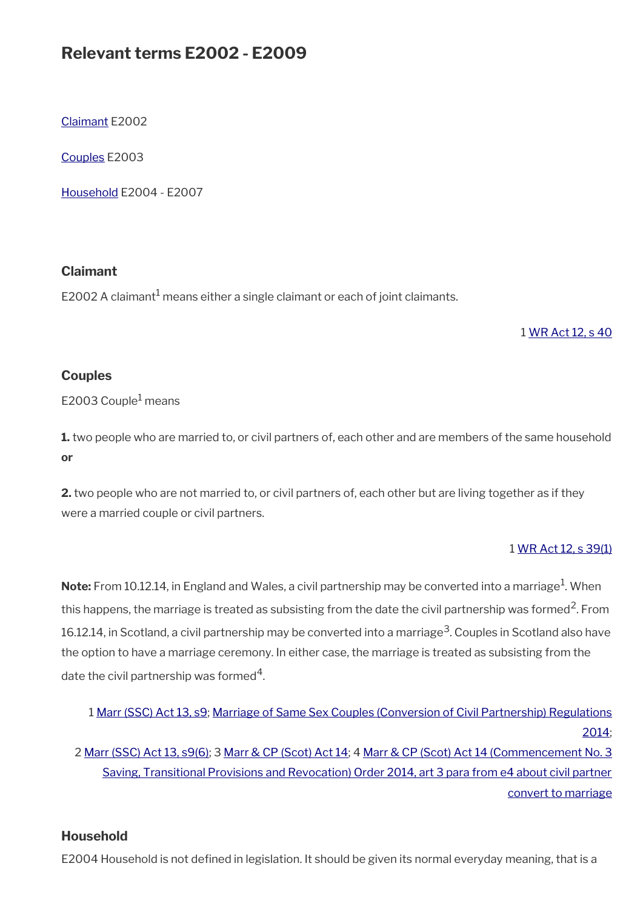# **Relevant terms E2002 - E2009**

[Claimant](#page-1-0) E2002

[Couples](#page-1-2) E2003

[Household](#page-1-1) E2004 - E2007

#### <span id="page-1-0"></span>**Claimant**

E2002 A claimant $^{\rm 1}$  means either a single claimant or each of joint claimants.

#### 1 [WR Act 12, s 40](https://www.legislation.gov.uk/ukpga/2012/5/section/40)

#### <span id="page-1-2"></span>**Couples**

E2003 Couple<sup>1</sup> means

**1.** two people who are married to, or civil partners of, each other and are members of the same household **or**

**2.** two people who are not married to, or civil partners of, each other but are living together as if they were a married couple or civil partners.

#### 1 [WR Act 12, s 39\(1\)](https://www.legislation.gov.uk/ukpga/2012/5/section/39)

 $\mathsf{Note:}$  From 10.12.14, in England and Wales, a civil partnership may be converted into a marriage $^1$ . When this happens, the marriage is treated as subsisting from the date the civil partnership was formed<sup>2</sup>. From 16.12.14, in Scotland, a civil partnership may be converted into a marriage<sup>3</sup>. Couples in Scotland also have the option to have a marriage ceremony. In either case, the marriage is treated as subsisting from the date the civil partnership was formed $^4\!$ .

```
1 Marr (SSC) Act 13, s9; Marriage of Same Sex Couples (Conversion of Civil Partnership) Regulations
                                                                                                2014;
2 Marr (SSC) Act 13, s9(6); 3 Marr & CP (Scot) Act 14; 4 Marr & CP (Scot) Act 14 (Commencement No. 3
     Saving, Transitional Provisions and Revocation) Order 2014, art 3 para from e4 about civil partner
                                                                                 convert to marriage
```
#### <span id="page-1-1"></span>**Household**

E2004 Household is not defined in legislation. It should be given its normal everyday meaning, that is a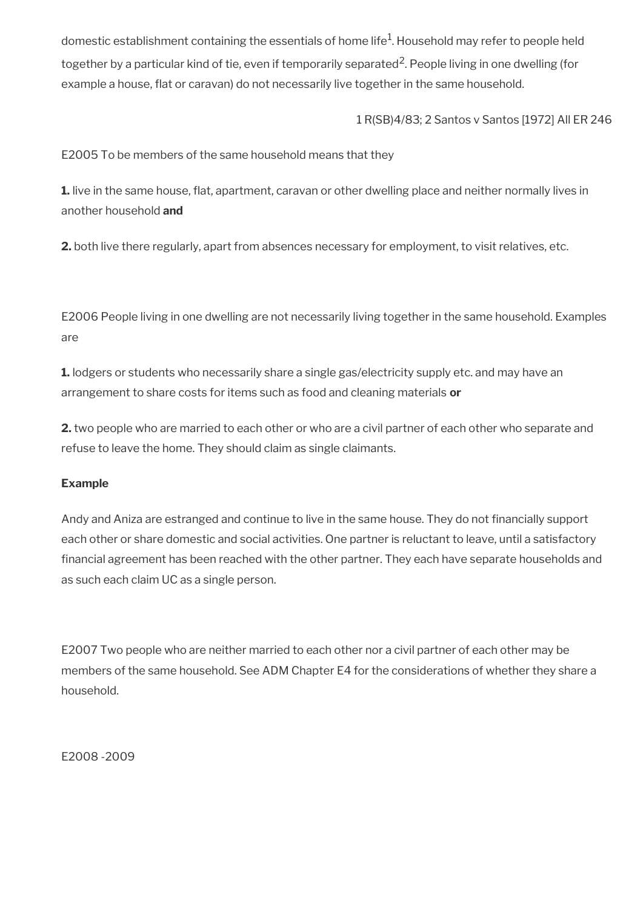domestic establishment containing the essentials of home life $^1\!\!$ . Household may refer to people held together by a particular kind of tie, even if temporarily separated<sup>2</sup>. People living in one dwelling (for example a house, fat or caravan) do not necessarily live together in the same household.

1 R(SB)4/83; 2 Santos v Santos [1972] All ER 246

E2005 To be members of the same household means that they

**1.** live in the same house, flat, apartment, caravan or other dwelling place and neither normally lives in another household **and**

**2.** both live there regularly, apart from absences necessary for employment, to visit relatives, etc.

E2006 People living in one dwelling are not necessarily living together in the same household. Examples are

**1.** lodgers or students who necessarily share a single gas/electricity supply etc. and may have an arrangement to share costs for items such as food and cleaning materials **or**

**2.** two people who are married to each other or who are a civil partner of each other who separate and refuse to leave the home. They should claim as single claimants.

#### **Example**

Andy and Aniza are estranged and continue to live in the same house. They do not financially support each other or share domestic and social activities. One partner is reluctant to leave, until a satisfactory fnancial agreement has been reached with the other partner. They each have separate households and as such each claim UC as a single person.

E2007 Two people who are neither married to each other nor a civil partner of each other may be members of the same household. See ADM Chapter E4 for the considerations of whether they share a household.

E2008 -2009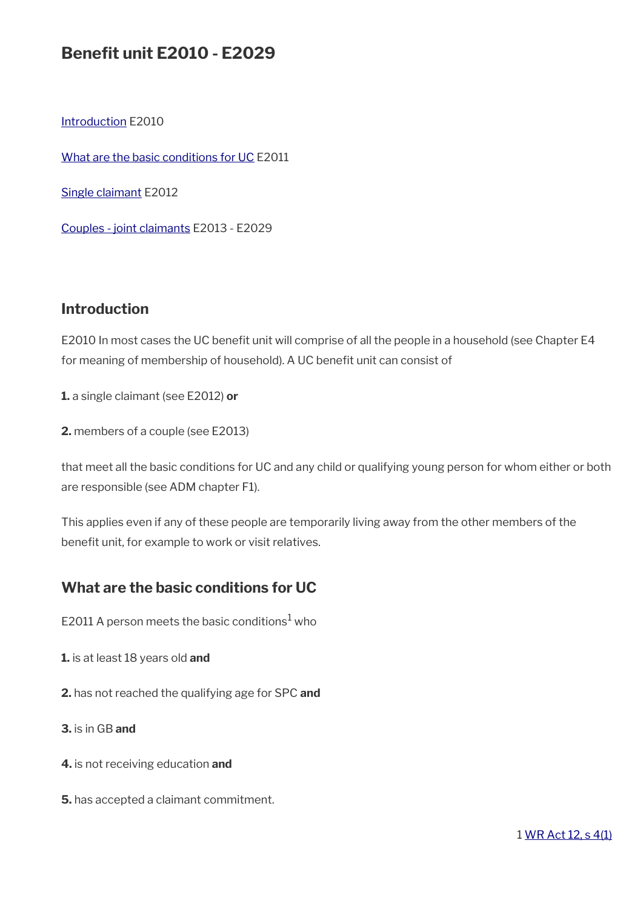# **Benefit unit E2010 - E2029**

[Introduction](#page-3-1) E2010

[What are the basic conditions for UC](#page-3-0) E2011

[Single claimant](#page-4-1) E2012

[Couples - joint claimants](#page-4-0) E2013 - E2029

## <span id="page-3-1"></span>**Introduction**

E2010 In most cases the UC benefit unit will comprise of all the people in a household (see Chapter E4 for meaning of membership of household). A UC benefit unit can consist of

**1.** a single claimant (see E2012) **or**

**2.** members of a couple (see E2013)

that meet all the basic conditions for UC and any child or qualifying young person for whom either or both are responsible (see ADM chapter F1).

This applies even if any of these people are temporarily living away from the other members of the benefit unit, for example to work or visit relatives.

## <span id="page-3-0"></span>**What are the basic conditions for UC**

E2011 A person meets the basic conditions $^1$  who

- **1.** is at least 18 years old **and**
- **2.** has not reached the qualifying age for SPC **and**

**3.** is in GB **and**

- **4.** is not receiving education **and**
- **5.** has accepted a claimant commitment.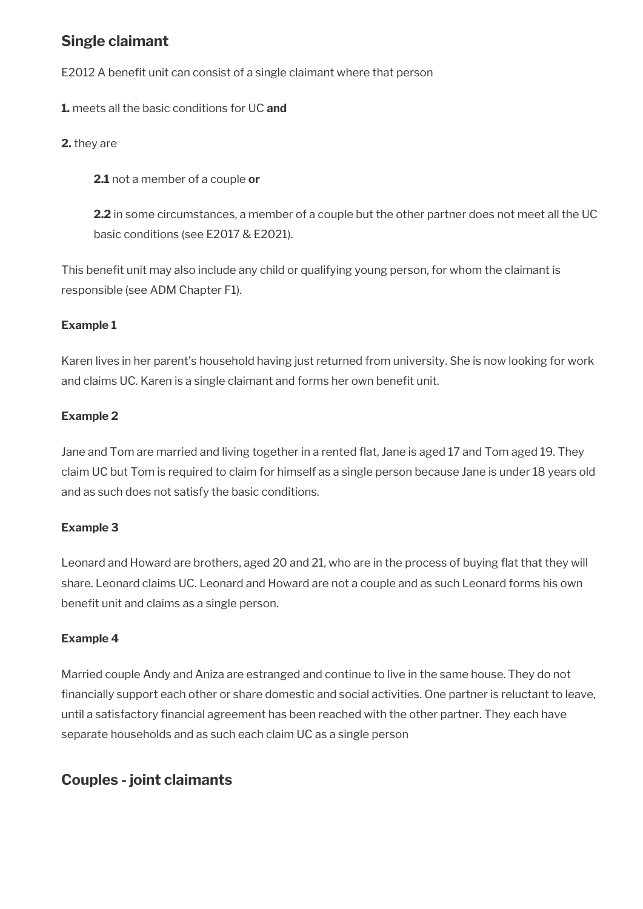## <span id="page-4-1"></span>**Single claimant**

E2012 A benefit unit can consist of a single claimant where that person

**1.** meets all the basic conditions for UC **and**

**2.** they are

**2.1** not a member of a couple **or**

**2.2** in some circumstances, a member of a couple but the other partner does not meet all the UC basic conditions (see E2017 & E2021).

This benefit unit may also include any child or qualifying young person, for whom the claimant is responsible (see ADM Chapter F1).

## **Example 1**

Karen lives in her parent's household having just returned from university. She is now looking for work and claims UC. Karen is a single claimant and forms her own benefit unit.

## **Example 2**

Jane and Tom are married and living together in a rented flat, Jane is aged 17 and Tom aged 19. They claim UC but Tom is required to claim for himself as a single person because Jane is under 18 years old and as such does not satisfy the basic conditions.

## **Example 3**

Leonard and Howard are brothers, aged 20 and 21, who are in the process of buying flat that they will share. Leonard claims UC. Leonard and Howard are not a couple and as such Leonard forms his own benefit unit and claims as a single person.

## **Example 4**

Married couple Andy and Aniza are estranged and continue to live in the same house. They do not fnancially support each other or share domestic and social activities. One partner is reluctant to leave, until a satisfactory financial agreement has been reached with the other partner. They each have separate households and as such each claim UC as a single person

## <span id="page-4-0"></span>**Couples - joint claimants**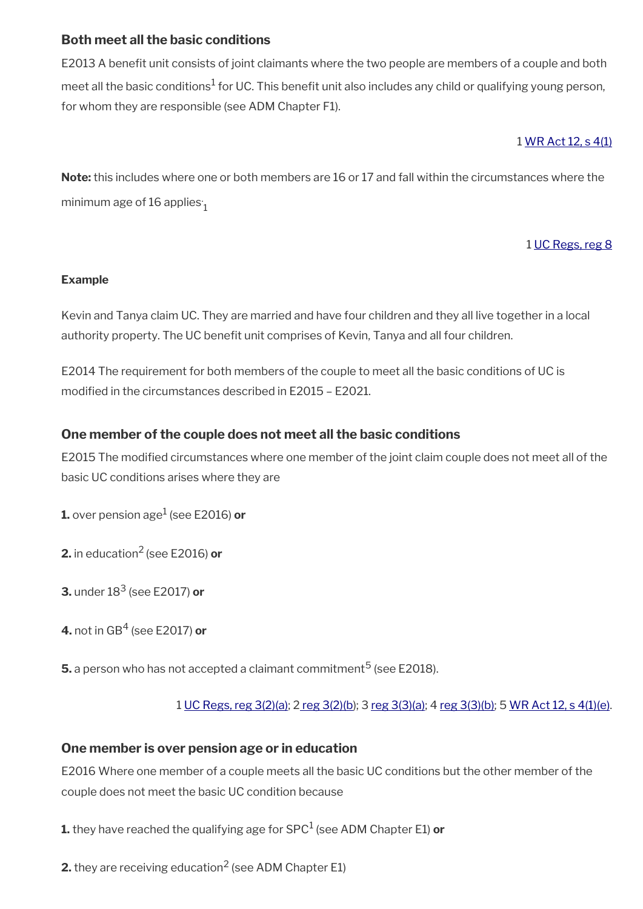## **Both meet all the basic conditions**

E2013 A benefit unit consists of joint claimants where the two people are members of a couple and both meet all the basic conditions $^1$  for UC. This benefit unit also includes any child or qualifying young person, for whom they are responsible (see ADM Chapter F1).

## 1 [WR Act 12, s 4\(1\)](https://www.legislation.gov.uk/ukpga/2012/5/section/4)

**Note:** this includes where one or both members are 16 or 17 and fall within the circumstances where the minimum age of 16 applies  $\rm _1$ 

## 1 [UC Regs, reg 8](https://www.legislation.gov.uk/uksi/2013/376/regulation/8)

#### **Example**

Kevin and Tanya claim UC. They are married and have four children and they all live together in a local authority property. The UC benefit unit comprises of Kevin, Tanya and all four children.

E2014 The requirement for both members of the couple to meet all the basic conditions of UC is modifed in the circumstances described in E2015 – E2021.

## **One member of the couple does not meet all the basic conditions**

E2015 The modifed circumstances where one member of the joint claim couple does not meet all of the basic UC conditions arises where they are

**1.** over pension age<sup>1</sup> (see E2016) **or** 

**2.** in education2 (see E2016) **or**

**3.** under 18<sup>3</sup> (see E2017) **or**

**4.** not in GB<sup>4</sup> (see E2017) **or**

 ${\bf 5}.$  a person who has not accepted a claimant commitment $^5$  (see E2018).

1 [UC Regs, reg 3\(2\)\(a\);](https://www.legislation.gov.uk/uksi/2013/376/regulation/3) 2 [reg 3\(2\)\(b](https://www.legislation.gov.uk/uksi/2013/376/regulation/3)); 3 [reg 3\(3\)\(a\);](https://www.legislation.gov.uk/uksi/2013/376/regulation/3) 4 [reg 3\(3\)\(b\);](https://www.legislation.gov.uk/uksi/2013/376/regulation/3) 5 [WR Act 12, s 4\(1\)\(e\).](https://www.legislation.gov.uk/ukpga/2012/5/section/4)

#### **One member is over pension age or in education**

E2016 Where one member of a couple meets all the basic UC conditions but the other member of the couple does not meet the basic UC condition because

**1.** they have reached the qualifying age for SPC<sup>1</sup> (see ADM Chapter E1) **or**

**2.** they are receiving education $^2$  (see ADM Chapter E1)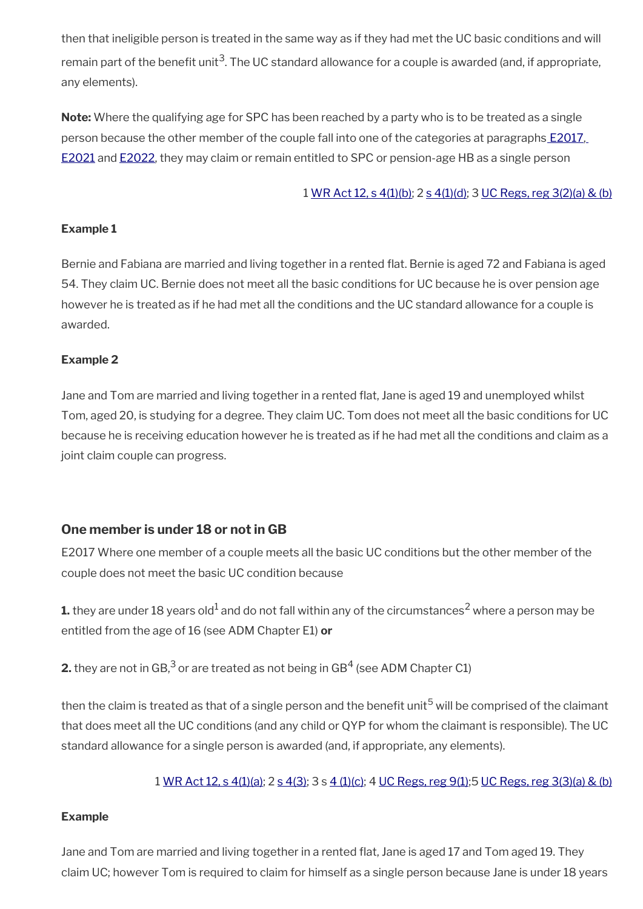then that ineligible person is treated in the same way as if they had met the UC basic conditions and will remain part of the benefit unit<sup>3</sup>. The UC standard allowance for a couple is awarded (and, if appropriate, any elements).

**Note:** Where the qualifying age for SPC has been reached by a party who is to be treated as a single person because the other member of the couple fall into one of the categories at paragraphs [E2017,](http://intranet.dwp.gov.uk/manual/advice-decision-making-adm/benefit-unit-e2010-e2029) [E2021](http://intranet.dwp.gov.uk/manual/advice-decision-making-adm/benefit-unit-e2010-e2029) and [E2022](http://intranet.dwp.gov.uk/manual/advice-decision-making-adm/benefit-unit-e2010-e2029), they may claim or remain entitled to SPC or pension-age HB as a single person

#### 1 [WR Act 12, s 4\(1\)\(b\)](https://www.legislation.gov.uk/ukpga/2012/5/section/4); 2 [s 4\(1\)\(d\)](https://www.legislation.gov.uk/ukpga/2012/5/section/4); 3 [UC Regs, reg 3\(2\)\(a\) & \(b\)](https://www.legislation.gov.uk/uksi/2013/376/regulation/3)

#### **Example 1**

Bernie and Fabiana are married and living together in a rented flat. Bernie is aged 72 and Fabiana is aged 54. They claim UC. Bernie does not meet all the basic conditions for UC because he is over pension age however he is treated as if he had met all the conditions and the UC standard allowance for a couple is awarded.

#### **Example 2**

Jane and Tom are married and living together in a rented fat, Jane is aged 19 and unemployed whilst Tom, aged 20, is studying for a degree. They claim UC. Tom does not meet all the basic conditions for UC because he is receiving education however he is treated as if he had met all the conditions and claim as a joint claim couple can progress.

#### **One member is under 18 or not in GB**

E2017 Where one member of a couple meets all the basic UC conditions but the other member of the couple does not meet the basic UC condition because

**1.** they are under 18 years old $^1$  and do not fall within any of the circumstances $^2$  where a person may be entitled from the age of 16 (see ADM Chapter E1) **or**

**2.** they are not in GB,<sup>3</sup> or are treated as not being in GB<sup>4</sup> (see ADM Chapter C1)

then the claim is treated as that of a single person and the benefit unit<sup>5</sup> will be comprised of the claimant that does meet all the UC conditions (and any child or QYP for whom the claimant is responsible). The UC standard allowance for a single person is awarded (and, if appropriate, any elements).

1 [WR Act 12, s 4\(1\)\(a\);](https://www.legislation.gov.uk/ukpga/2012/5/section/4) 2 [s 4\(3\)](https://www.legislation.gov.uk/ukpga/2012/5/section/4); 3 s [4 \(1\)\(c\)](https://www.legislation.gov.uk/ukpga/2012/5/section/4); 4 [UC Regs, reg 9\(1\)](https://www.legislation.gov.uk/uksi/2013/376/regulation/9);5 [UC Regs, reg 3\(3\)\(a\) & \(b\)](https://www.legislation.gov.uk/uksi/2013/376/regulation/3)

#### **Example**

Jane and Tom are married and living together in a rented flat, Jane is aged 17 and Tom aged 19. They claim UC; however Tom is required to claim for himself as a single person because Jane is under 18 years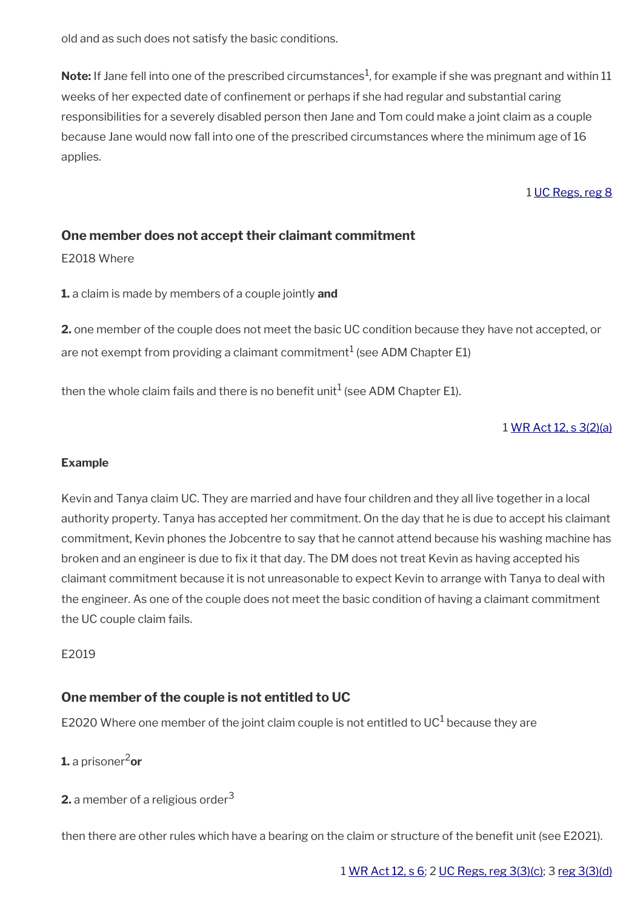old and as such does not satisfy the basic conditions.

 $\mathsf{Note:}$  If Jane fell into one of the prescribed circumstances $^1$ , for example if she was pregnant and within  $11$ weeks of her expected date of confnement or perhaps if she had regular and substantial caring responsibilities for a severely disabled person then Jane and Tom could make a joint claim as a couple because Jane would now fall into one of the prescribed circumstances where the minimum age of 16 applies.

1 [UC Regs, reg 8](https://www.legislation.gov.uk/uksi/2013/376/regulation/8)

## **One member does not accept their claimant commitment**

E2018 Where

**1.** a claim is made by members of a couple jointly **and**

**2.** one member of the couple does not meet the basic UC condition because they have not accepted, or are not exempt from providing a claimant commitment $^1$  (see ADM Chapter E1)

then the whole claim fails and there is no benefit unit $^1$  (see ADM Chapter E1).

## 1 [WR Act 12, s 3\(2\)\(a\)](https://www.legislation.gov.uk/ukpga/2012/5/section/3)

#### **Example**

Kevin and Tanya claim UC. They are married and have four children and they all live together in a local authority property. Tanya has accepted her commitment. On the day that he is due to accept his claimant commitment, Kevin phones the Jobcentre to say that he cannot attend because his washing machine has broken and an engineer is due to fix it that day. The DM does not treat Kevin as having accepted his claimant commitment because it is not unreasonable to expect Kevin to arrange with Tanya to deal with the engineer. As one of the couple does not meet the basic condition of having a claimant commitment the UC couple claim fails.

#### E2019

## **One member of the couple is not entitled to UC**

E2020 Where one member of the joint claim couple is not entitled to UC $^1$  because they are

## **1.** a prisoner2**or**

**2.** a member of a religious order<sup>3</sup>

then there are other rules which have a bearing on the claim or structure of the benefit unit (see E2021).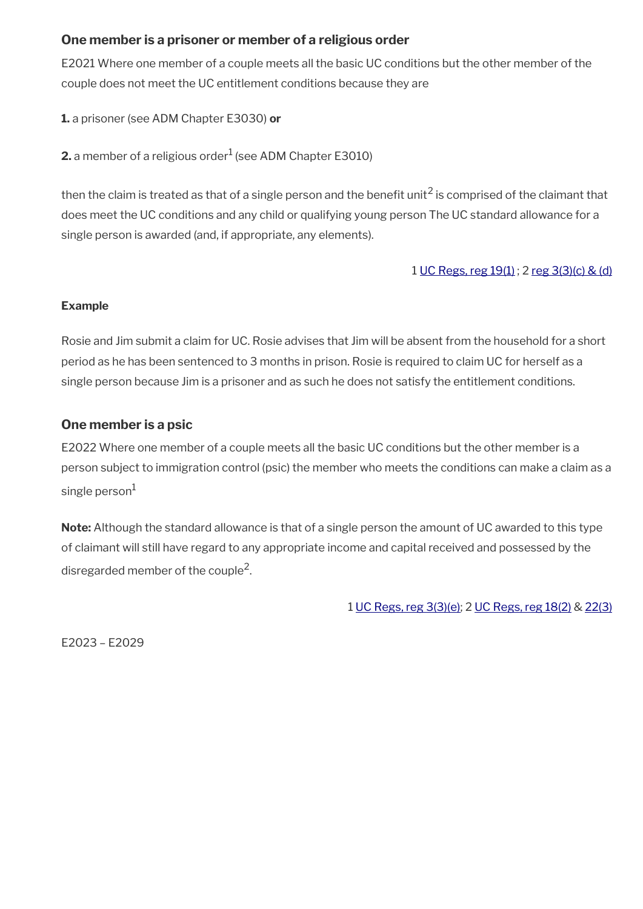## **One member is a prisoner or member of a religious order**

E2021 Where one member of a couple meets all the basic UC conditions but the other member of the couple does not meet the UC entitlement conditions because they are

**1.** a prisoner (see ADM Chapter E3030) **or**

 $\mathbf 2.$  a member of a religious order $^1$  (see ADM Chapter E3010)

then the claim is treated as that of a single person and the benefit unit<sup>2</sup> is comprised of the claimant that does meet the UC conditions and any child or qualifying young person The UC standard allowance for a single person is awarded (and, if appropriate, any elements).

1 [UC Regs, reg 19\(1\)](https://www.legislation.gov.uk/uksi/2013/376/regulation/19) ; 2 [reg 3\(3\)\(c\) & \(d\)](https://www.legislation.gov.uk/uksi/2013/376/regulation/3)

#### **Example**

Rosie and Jim submit a claim for UC. Rosie advises that Jim will be absent from the household for a short period as he has been sentenced to 3 months in prison. Rosie is required to claim UC for herself as a single person because Jim is a prisoner and as such he does not satisfy the entitlement conditions.

## **One member is a psic**

E2022 Where one member of a couple meets all the basic UC conditions but the other member is a person subject to immigration control (psic) the member who meets the conditions can make a claim as a single person $1$ 

**Note:** Although the standard allowance is that of a single person the amount of UC awarded to this type of claimant will still have regard to any appropriate income and capital received and possessed by the disregarded member of the couple<sup>2</sup>.

1 [UC Regs, reg 3\(3\)\(e\)](https://www.legislation.gov.uk/uksi/2013/376/regulation/3); 2 [UC Regs, reg 18\(2\)](https://www.legislation.gov.uk/uksi/2013/376/regulation/18) & [22\(3\)](https://www.legislation.gov.uk/uksi/2013/376/regulation/22)

E2023 – E2029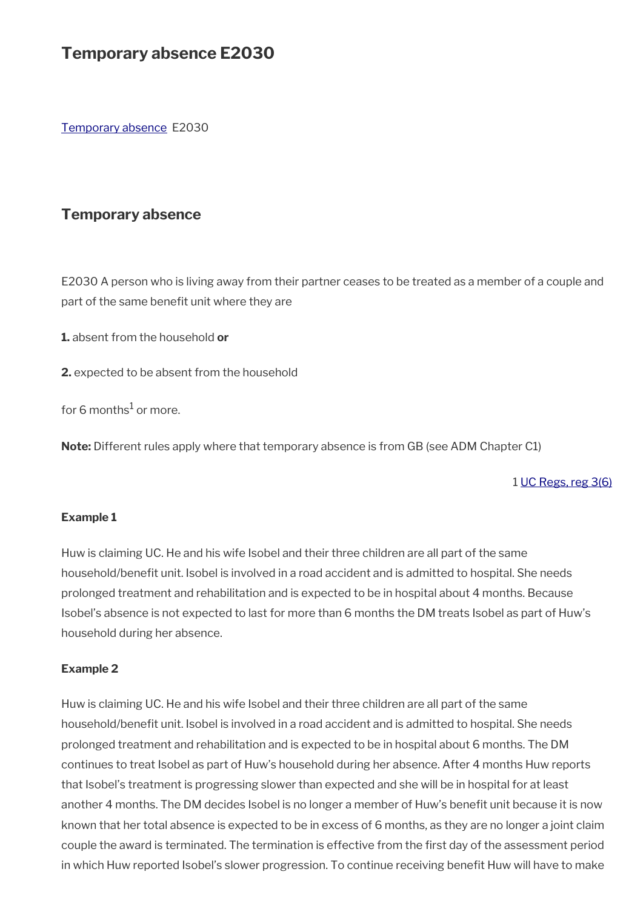# **Temporary absence E2030**

[Temporary absence](#page-9-0) E2030

## <span id="page-9-0"></span>**Temporary absence**

E2030 A person who is living away from their partner ceases to be treated as a member of a couple and part of the same benefit unit where they are

**1.** absent from the household **or**

**2.** expected to be absent from the household

for 6 months $^1$  or more.

**Note:** Different rules apply where that temporary absence is from GB (see ADM Chapter C1)

1 [UC Regs, reg 3\(6\)](https://www.legislation.gov.uk/uksi/2013/376/regulation/3)

#### **Example 1**

Huw is claiming UC. He and his wife Isobel and their three children are all part of the same household/benefit unit. Isobel is involved in a road accident and is admitted to hospital. She needs prolonged treatment and rehabilitation and is expected to be in hospital about 4 months. Because Isobel's absence is not expected to last for more than 6 months the DM treats Isobel as part of Huw's household during her absence.

#### **Example 2**

Huw is claiming UC. He and his wife Isobel and their three children are all part of the same household/benefit unit. Isobel is involved in a road accident and is admitted to hospital. She needs prolonged treatment and rehabilitation and is expected to be in hospital about 6 months. The DM continues to treat Isobel as part of Huw's household during her absence. After 4 months Huw reports that Isobel's treatment is progressing slower than expected and she will be in hospital for at least another 4 months. The DM decides Isobel is no longer a member of Huw's beneft unit because it is now known that her total absence is expected to be in excess of 6 months, as they are no longer a joint claim couple the award is terminated. The termination is effective from the frst day of the assessment period in which Huw reported Isobel's slower progression. To continue receiving beneft Huw will have to make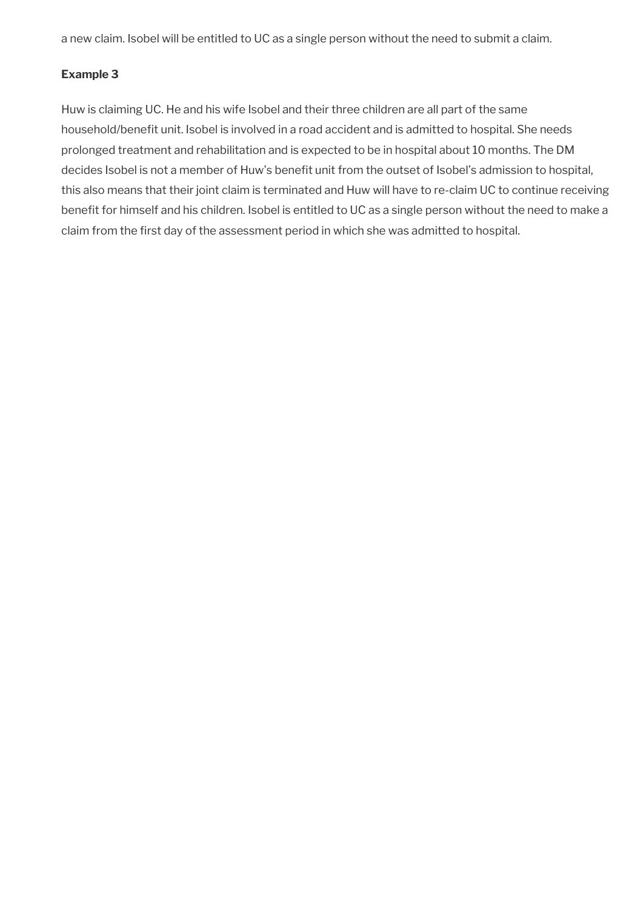a new claim. Isobel will be entitled to UC as a single person without the need to submit a claim.

#### **Example 3**

Huw is claiming UC. He and his wife Isobel and their three children are all part of the same household/benefit unit. Isobel is involved in a road accident and is admitted to hospital. She needs prolonged treatment and rehabilitation and is expected to be in hospital about 10 months. The DM decides Isobel is not a member of Huw's benefit unit from the outset of Isobel's admission to hospital, this also means that their joint claim is terminated and Huw will have to re-claim UC to continue receiving benefit for himself and his children. Isobel is entitled to UC as a single person without the need to make a claim from the first day of the assessment period in which she was admitted to hospital.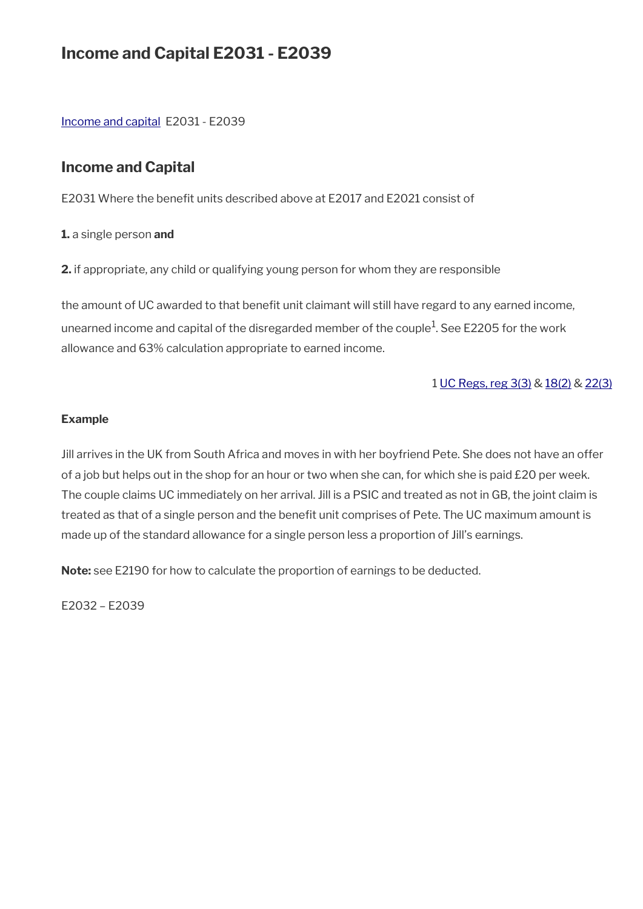# **Income and Capital E2031 - E2039**

[Income and capital](#page-11-0) E2031 - E2039

## <span id="page-11-0"></span>**Income and Capital**

E2031 Where the benefit units described above at E2017 and E2021 consist of

**1.** a single person **and**

**2.** if appropriate, any child or qualifying young person for whom they are responsible

the amount of UC awarded to that benefit unit claimant will still have regard to any earned income, unearned income and capital of the disregarded member of the couple $^1$ . See E2205 for the work allowance and 63% calculation appropriate to earned income.

#### 1 [UC Regs, reg 3\(3\)](https://www.legislation.gov.uk/uksi/2013/376/regulation/3) & [18\(2\)](https://www.legislation.gov.uk/uksi/2013/376/regulation/18) & [22\(3\)](https://www.legislation.gov.uk/uksi/2013/376/regulation/22)

#### **Example**

Jill arrives in the UK from South Africa and moves in with her boyfriend Pete. She does not have an offer of a job but helps out in the shop for an hour or two when she can, for which she is paid £20 per week. The couple claims UC immediately on her arrival. Jill is a PSIC and treated as not in GB, the joint claim is treated as that of a single person and the benefit unit comprises of Pete. The UC maximum amount is made up of the standard allowance for a single person less a proportion of Jill's earnings.

**Note:** see E2190 for how to calculate the proportion of earnings to be deducted.

E2032 – E2039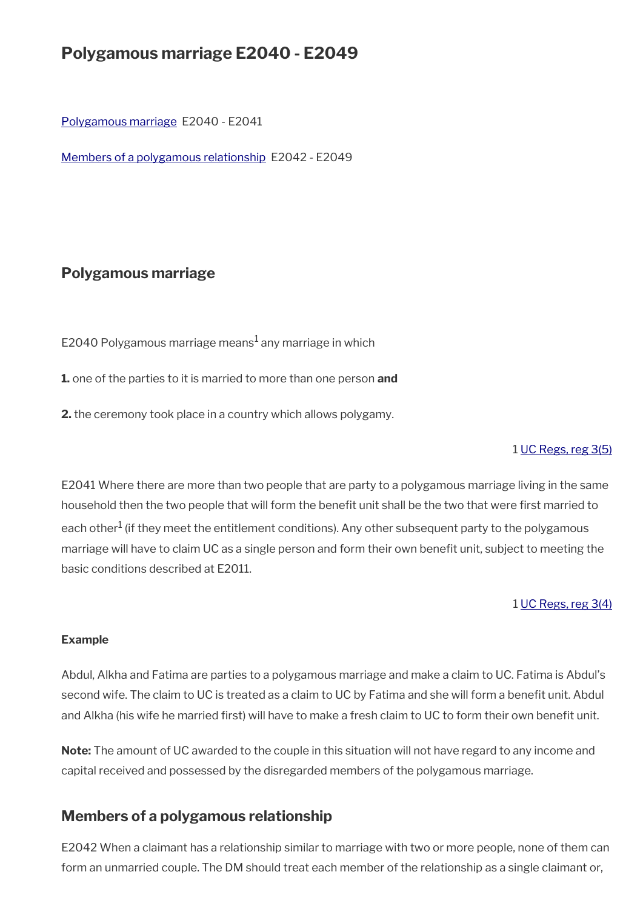# **Polygamous marriage E2040 - E2049**

[Polygamous marriage](#page-12-1) E2040 - E2041

[Members of a polygamous relationship](#page-12-0) E2042 - E2049

## <span id="page-12-1"></span>**Polygamous marriage**

E2040 Polygamous marriage means $^1$  any marriage in which

**1.** one of the parties to it is married to more than one person **and**

**2.** the ceremony took place in a country which allows polygamy.

#### 1 [UC Regs, reg 3\(5\)](https://www.legislation.gov.uk/uksi/2013/376/regulation/3)

E2041 Where there are more than two people that are party to a polygamous marriage living in the same household then the two people that will form the benefit unit shall be the two that were first married to each other $^1$  (if they meet the entitlement conditions). Any other subsequent party to the polygamous marriage will have to claim UC as a single person and form their own benefit unit, subject to meeting the basic conditions described at E2011.

#### 1 [UC Regs, reg 3\(4\)](https://www.legislation.gov.uk/uksi/2013/376/regulation/3)

#### **Example**

Abdul, Alkha and Fatima are parties to a polygamous marriage and make a claim to UC. Fatima is Abdul's second wife. The claim to UC is treated as a claim to UC by Fatima and she will form a benefit unit. Abdul and Alkha (his wife he married first) will have to make a fresh claim to UC to form their own benefit unit.

**Note:** The amount of UC awarded to the couple in this situation will not have regard to any income and capital received and possessed by the disregarded members of the polygamous marriage.

## <span id="page-12-0"></span>**Members of a polygamous relationship**

E2042 When a claimant has a relationship similar to marriage with two or more people, none of them can form an unmarried couple. The DM should treat each member of the relationship as a single claimant or,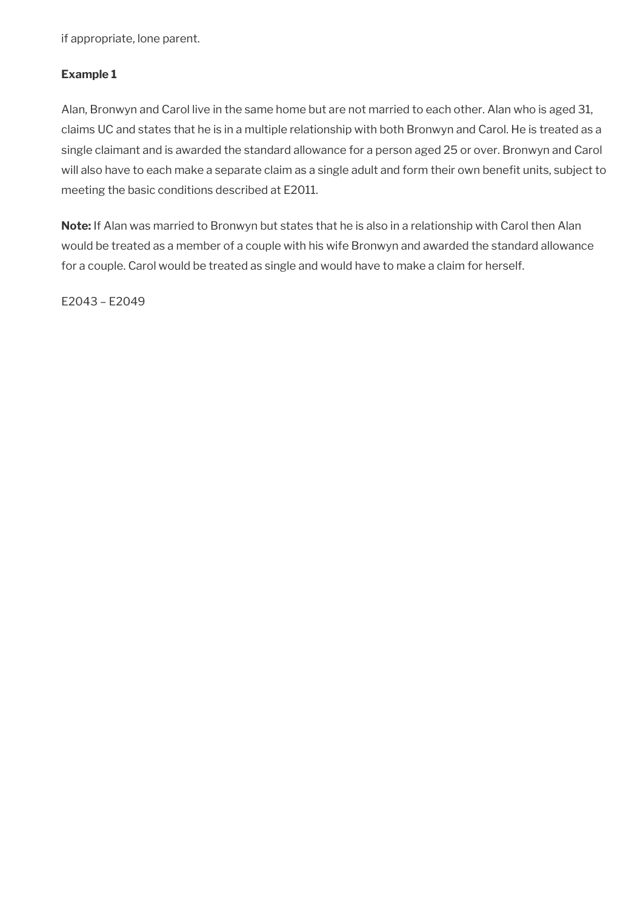if appropriate, lone parent.

## **Example 1**

Alan, Bronwyn and Carol live in the same home but are not married to each other. Alan who is aged 31, claims UC and states that he is in a multiple relationship with both Bronwyn and Carol. He is treated as a single claimant and is awarded the standard allowance for a person aged 25 or over. Bronwyn and Carol will also have to each make a separate claim as a single adult and form their own benefit units, subject to meeting the basic conditions described at E2011.

**Note:** If Alan was married to Bronwyn but states that he is also in a relationship with Carol then Alan would be treated as a member of a couple with his wife Bronwyn and awarded the standard allowance for a couple. Carol would be treated as single and would have to make a claim for herself.

E2043 – E2049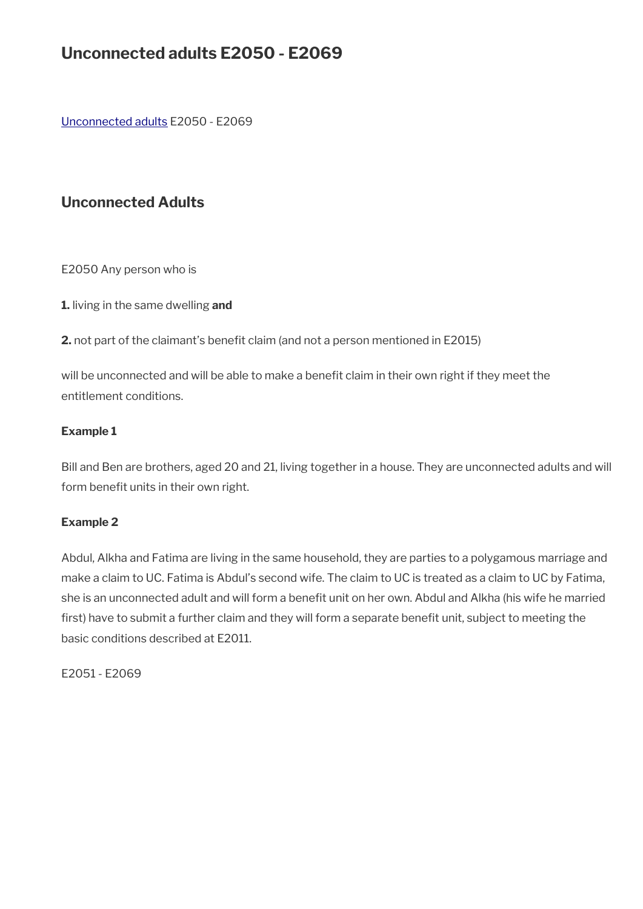# **Unconnected adults E2050 - E2069**

Unconnected adults E2050 - E2069

## **Unconnected Adults**

E2050 Any person who is

**1.** living in the same dwelling **and**

**2.** not part of the claimant's benefit claim (and not a person mentioned in E2015)

will be unconnected and will be able to make a benefit claim in their own right if they meet the entitlement conditions.

#### **Example 1**

Bill and Ben are brothers, aged 20 and 21, living together in a house. They are unconnected adults and will form benefit units in their own right.

#### **Example 2**

Abdul, Alkha and Fatima are living in the same household, they are parties to a polygamous marriage and make a claim to UC. Fatima is Abdul's second wife. The claim to UC is treated as a claim to UC by Fatima, she is an unconnected adult and will form a benefit unit on her own. Abdul and Alkha (his wife he married first) have to submit a further claim and they will form a separate benefit unit, subject to meeting the basic conditions described at E2011.

E2051 - E2069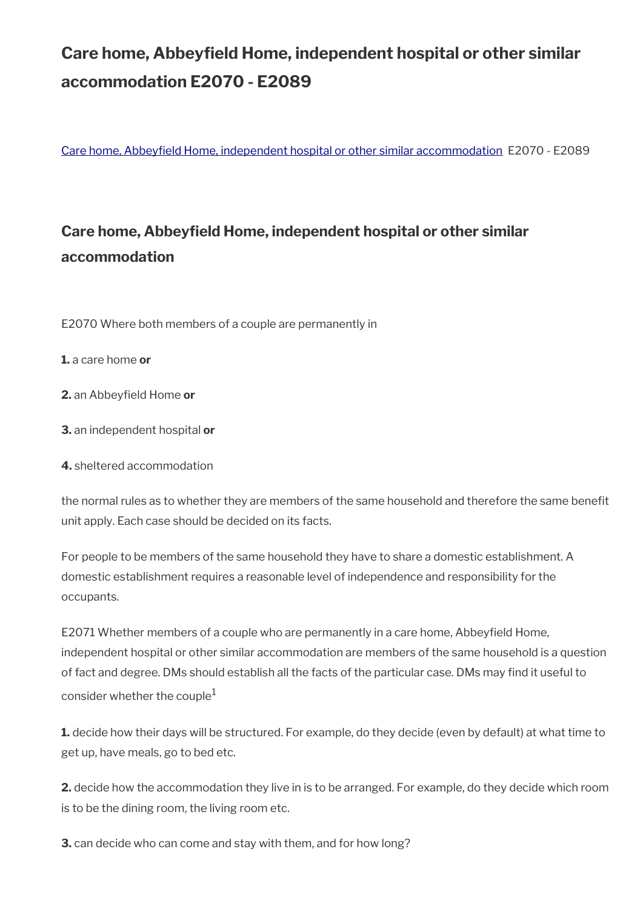# **Care home, Abbeyfeld Home, independent hospital or other similar accommodation E2070 - E2089**

[Care home, Abbeyfeld Home, independent hospital or other similar accommodation](#page-15-0) E2070 - E2089

# <span id="page-15-0"></span>**Care home, Abbeyfeld Home, independent hospital or other similar accommodation**

E2070 Where both members of a couple are permanently in

**1.** a care home **or**

- **2.** an Abbeyfield Home or
- **3.** an independent hospital **or**
- **4.** sheltered accommodation

the normal rules as to whether they are members of the same household and therefore the same benefit unit apply. Each case should be decided on its facts.

For people to be members of the same household they have to share a domestic establishment. A domestic establishment requires a reasonable level of independence and responsibility for the occupants.

E2071 Whether members of a couple who are permanently in a care home, Abbeyfeld Home, independent hospital or other similar accommodation are members of the same household is a question of fact and degree. DMs should establish all the facts of the particular case. DMs may fnd it useful to consider whether the couple $1$ 

**1.** decide how their days will be structured. For example, do they decide (even by default) at what time to get up, have meals, go to bed etc.

**2.** decide how the accommodation they live in is to be arranged. For example, do they decide which room is to be the dining room, the living room etc.

**3.** can decide who can come and stay with them, and for how long?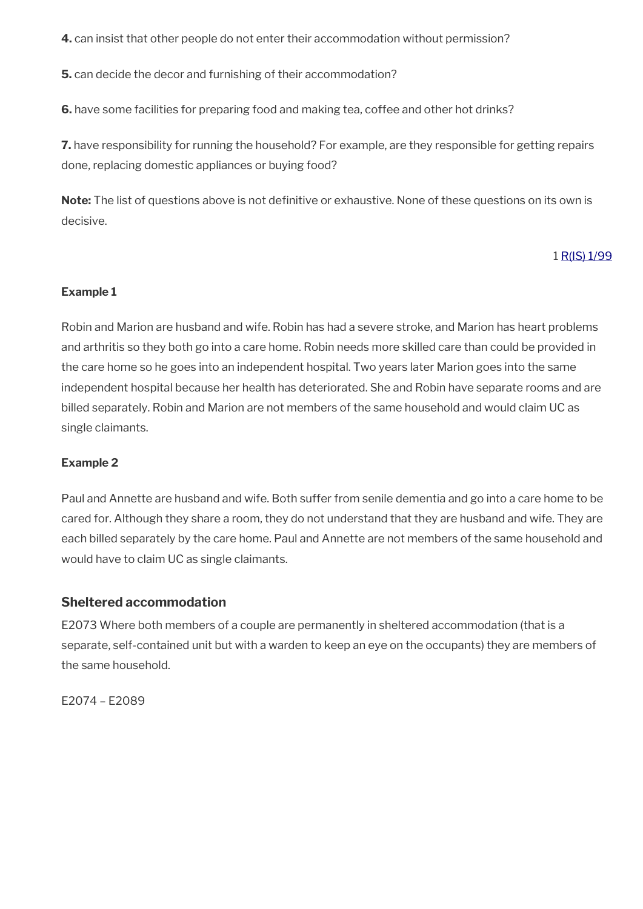**4.** can insist that other people do not enter their accommodation without permission?

**5.** can decide the decor and furnishing of their accommodation?

**6.** have some facilities for preparing food and making tea, coffee and other hot drinks?

**7.** have responsibility for running the household? For example, are they responsible for getting repairs done, replacing domestic appliances or buying food?

**Note:** The list of questions above is not definitive or exhaustive. None of these questions on its own is decisive.

#### 1 [R\(IS\) 1/99](https://intranet.dwp.gov.uk/manual/decision-benefit/ris-1-99)

#### **Example 1**

Robin and Marion are husband and wife. Robin has had a severe stroke, and Marion has heart problems and arthritis so they both go into a care home. Robin needs more skilled care than could be provided in the care home so he goes into an independent hospital. Two years later Marion goes into the same independent hospital because her health has deteriorated. She and Robin have separate rooms and are billed separately. Robin and Marion are not members of the same household and would claim UC as single claimants.

#### **Example 2**

Paul and Annette are husband and wife. Both suffer from senile dementia and go into a care home to be cared for. Although they share a room, they do not understand that they are husband and wife. They are each billed separately by the care home. Paul and Annette are not members of the same household and would have to claim UC as single claimants.

#### **Sheltered accommodation**

E2073 Where both members of a couple are permanently in sheltered accommodation (that is a separate, self-contained unit but with a warden to keep an eye on the occupants) they are members of the same household.

E2074 – E2089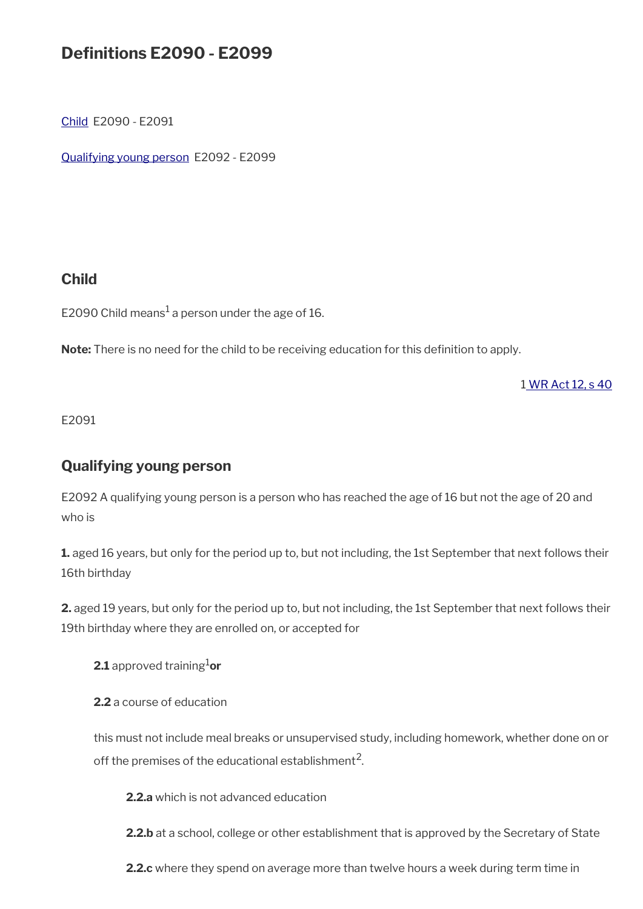# **Defnitions E2090 - E2099**

[Child](#page-17-1) E2090 - E2091

[Qualifying young person](#page-17-0) E2092 - E2099

## <span id="page-17-1"></span>**Child**

E2090 Child means $^1$  a person under the age of 16.

Note: There is no need for the child to be receiving education for this definition to apply.

[1 WR Act 12, s 40](https://www.legislation.gov.uk/ukpga/2012/5/section/12)

E2091

## <span id="page-17-0"></span>**Qualifying young person**

E2092 A qualifying young person is a person who has reached the age of 16 but not the age of 20 and who is

**1.** aged 16 years, but only for the period up to, but not including, the 1st September that next follows their 16th birthday

**2.** aged 19 years, but only for the period up to, but not including, the 1st September that next follows their 19th birthday where they are enrolled on, or accepted for

**2.1** approved training<sup>1</sup>or

**2.2** a course of education

this must not include meal breaks or unsupervised study, including homework, whether done on or off the premises of the educational establishment<sup>2</sup>.

**2.2.a** which is not advanced education

**2.2.b** at a school, college or other establishment that is approved by the Secretary of State

**2.2.c** where they spend on average more than twelve hours a week during term time in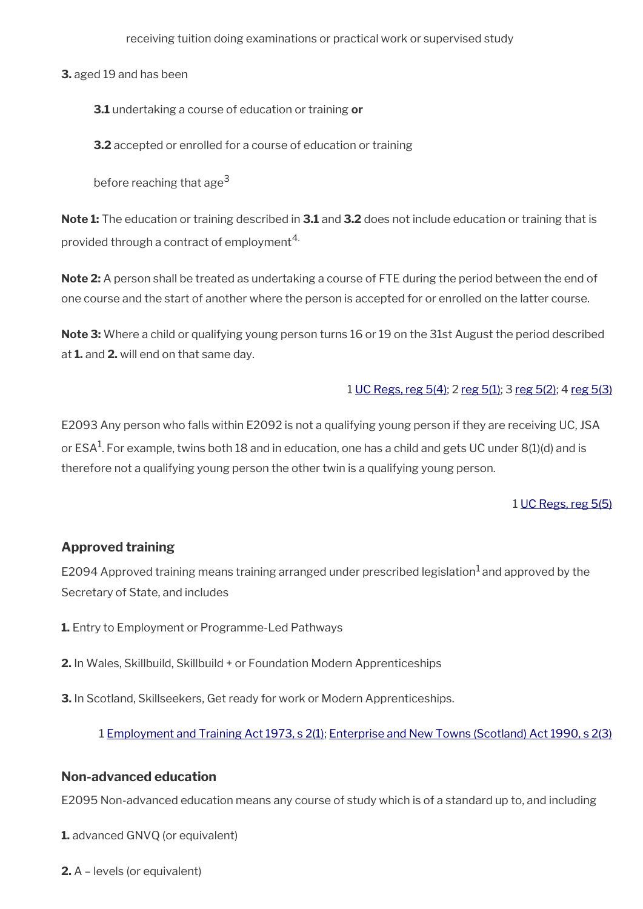receiving tuition doing examinations or practical work or supervised study

**3.** aged 19 and has been

**3.1** undertaking a course of education or training **or**

**3.2** accepted or enrolled for a course of education or training

before reaching that age<sup>3</sup>

**Note 1:** The education or training described in **3.1** and **3.2** does not include education or training that is provided through a contract of employment<sup>4.</sup>

**Note 2:** A person shall be treated as undertaking a course of FTE during the period between the end of one course and the start of another where the person is accepted for or enrolled on the latter course.

**Note 3:** Where a child or qualifying young person turns 16 or 19 on the 31st August the period described at **1.** and **2.** will end on that same day.

#### 1 [UC Regs, reg 5\(4\);](https://www.legislation.gov.uk/uksi/2013/376/regulation/5) 2 [reg 5\(1\);](https://www.legislation.gov.uk/uksi/2013/376/regulation/5) 3 [reg 5\(2\)](https://www.legislation.gov.uk/uksi/2013/376/regulation/5); 4 [reg 5\(3\)](https://www.legislation.gov.uk/uksi/2013/376/regulation/5)

E2093 Any person who falls within E2092 is not a qualifying young person if they are receiving UC, JSA or ESA $^{\rm 1}$ . For example, twins both 18 and in education, one has a child and gets UC under 8(1)(d) and is therefore not a qualifying young person the other twin is a qualifying young person.

#### 1 [UC Regs, reg 5\(5\)](https://www.legislation.gov.uk/uksi/2013/376/regulation/5)

#### **Approved training**

E2094 Approved training means training arranged under prescribed legislation<sup>1</sup> and approved by the Secretary of State, and includes

- **1.** Entry to Employment or Programme-Led Pathways
- **2.** In Wales, Skillbuild, Skillbuild + or Foundation Modern Apprenticeships
- **3.** In Scotland, Skillseekers, Get ready for work or Modern Apprenticeships.

#### 1 [Employment and Training Act 1973, s 2\(1\)](https://www.legislation.gov.uk/ukpga/1973/50/section/2); [Enterprise and New Towns \(Scotland\) Act 1990, s 2\(3\)](https://www.legislation.gov.uk/ukpga/1990/35/section/2)

#### **Non-advanced education**

E2095 Non-advanced education means any course of study which is of a standard up to, and including

**1.** advanced GNVQ (or equivalent)

**2.** A – levels (or equivalent)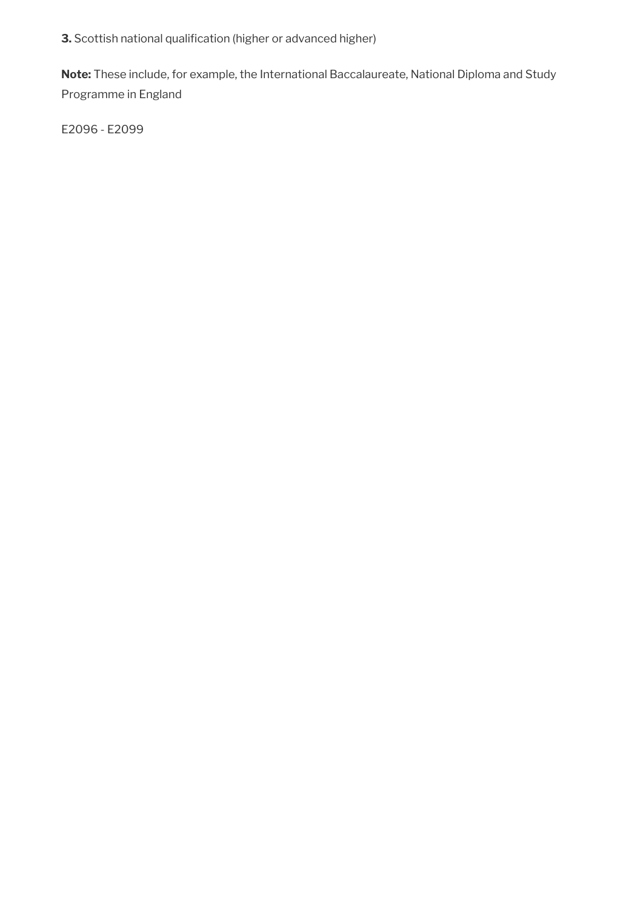**3.** Scottish national qualification (higher or advanced higher)

**Note:** These include, for example, the International Baccalaureate, National Diploma and Study Programme in England

E2096 - E2099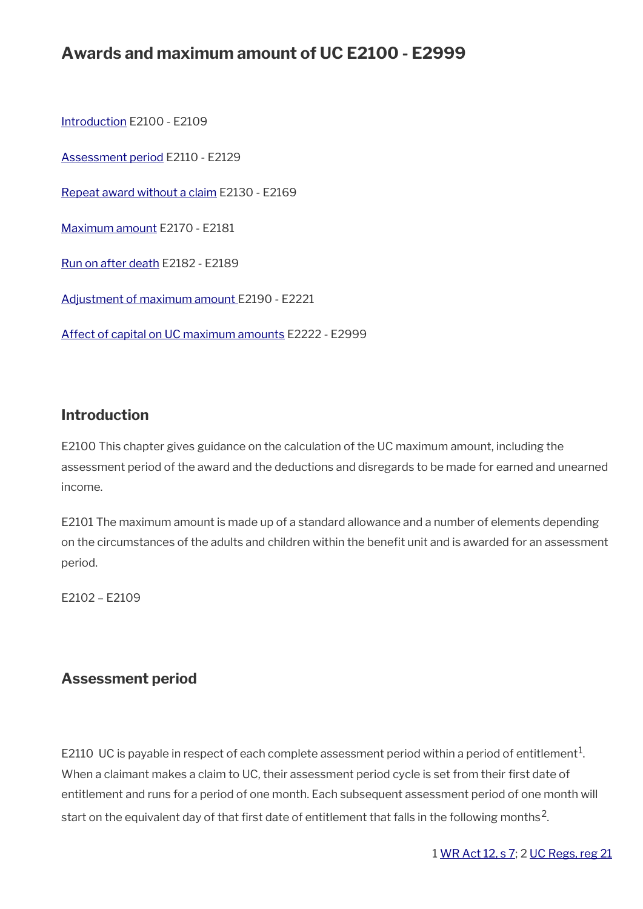# **Awards and maximum amount of UC E2100 - E2999**

[Introduction](#page-3-1) E2100 - E2109 [Assessment period](#page-20-0) E2110 - E2129 [Repeat award without a claim](#page-26-0) E2130 - E2169 [Maximum amount](#page-28-0) E2170 - E2181 [Run on after death](#page-31-0) E2182 - E2189 [Adjustment of maximum amount](#page-32-0) E2190 - E2221 [Affect of capital on UC maximum amounts](#page-37-0) E2222 - E2999

## **Introduction**

E2100 This chapter gives guidance on the calculation of the UC maximum amount, including the assessment period of the award and the deductions and disregards to be made for earned and unearned income.

E2101 The maximum amount is made up of a standard allowance and a number of elements depending on the circumstances of the adults and children within the benefit unit and is awarded for an assessment period.

E2102 – E2109

## <span id="page-20-0"></span>**Assessment period**

E2110 UC is payable in respect of each complete assessment period within a period of entitlement $^1$ . When a claimant makes a claim to UC, their assessment period cycle is set from their first date of entitlement and runs for a period of one month. Each subsequent assessment period of one month will start on the equivalent day of that first date of entitlement that falls in the following months<sup>2</sup>.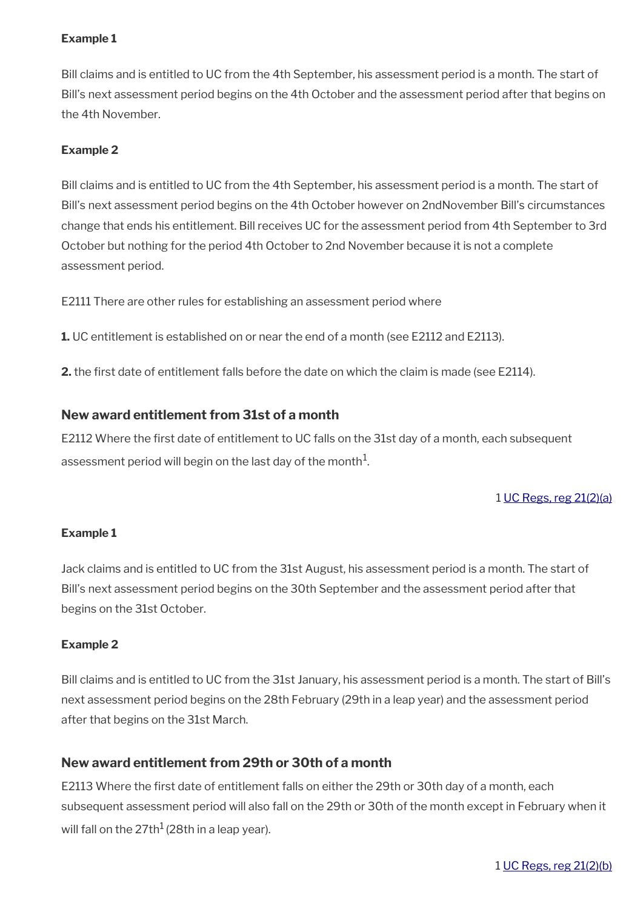#### **Example 1**

Bill claims and is entitled to UC from the 4th September, his assessment period is a month. The start of Bill's next assessment period begins on the 4th October and the assessment period after that begins on the 4th November.

#### **Example 2**

Bill claims and is entitled to UC from the 4th September, his assessment period is a month. The start of Bill's next assessment period begins on the 4th October however on 2ndNovember Bill's circumstances change that ends his entitlement. Bill receives UC for the assessment period from 4th September to 3rd October but nothing for the period 4th October to 2nd November because it is not a complete assessment period.

E2111 There are other rules for establishing an assessment period where

**1.** UC entitlement is established on or near the end of a month (see E2112 and E2113).

**2.** the first date of entitlement falls before the date on which the claim is made (see E2114).

#### **New award entitlement from 31st of a month**

E2112 Where the first date of entitlement to UC falls on the 31st day of a month, each subsequent assessment period will begin on the last day of the month $^1\!$ 

#### 1 [UC Regs, reg 21\(2\)\(a\)](https://www.legislation.gov.uk/uksi/2013/376/regulation/21)

#### **Example 1**

Jack claims and is entitled to UC from the 31st August, his assessment period is a month. The start of Bill's next assessment period begins on the 30th September and the assessment period after that begins on the 31st October.

#### **Example 2**

Bill claims and is entitled to UC from the 31st January, his assessment period is a month. The start of Bill's next assessment period begins on the 28th February (29th in a leap year) and the assessment period after that begins on the 31st March.

#### **New award entitlement from 29th or 30th of a month**

E2113 Where the frst date of entitlement falls on either the 29th or 30th day of a month, each subsequent assessment period will also fall on the 29th or 30th of the month except in February when it will fall on the  $27th^1$  (28th in a leap year).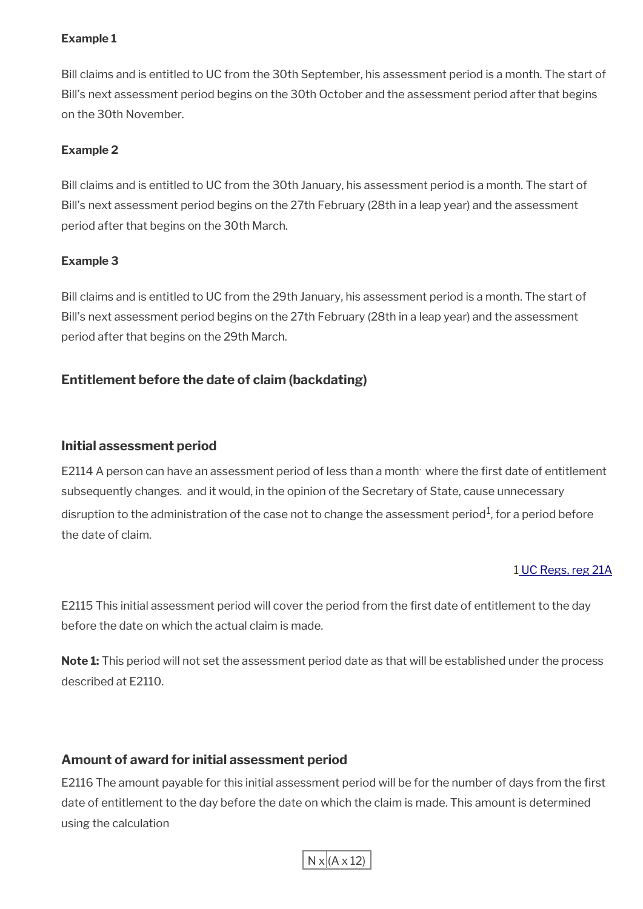#### **Example 1**

Bill claims and is entitled to UC from the 30th September, his assessment period is a month. The start of Bill's next assessment period begins on the 30th October and the assessment period after that begins on the 30th November.

#### **Example 2**

Bill claims and is entitled to UC from the 30th January, his assessment period is a month. The start of Bill's next assessment period begins on the 27th February (28th in a leap year) and the assessment period after that begins on the 30th March.

#### **Example 3**

Bill claims and is entitled to UC from the 29th January, his assessment period is a month. The start of Bill's next assessment period begins on the 27th February (28th in a leap year) and the assessment period after that begins on the 29th March.

## **Entitlement before the date of claim (backdating)**

#### **Initial assessment period**

E2114 A person can have an assessment period of less than a month: where the first date of entitlement subsequently changes. and it would, in the opinion of the Secretary of State, cause unnecessary disruption to the administration of the case not to change the assessment period $^{\rm 1}$ , for a period before the date of claim.

#### [1 UC Regs, reg 21A](https://www.legislation.gov.uk/uksi/2013/376/regulation/21A)

E2115 This initial assessment period will cover the period from the first date of entitlement to the day before the date on which the actual claim is made.

**Note 1:** This period will not set the assessment period date as that will be established under the process described at E2110.

#### **Amount of award for initial assessment period**

E2116 The amount payable for this initial assessment period will be for the number of days from the first date of entitlement to the day before the date on which the claim is made. This amount is determined using the calculation

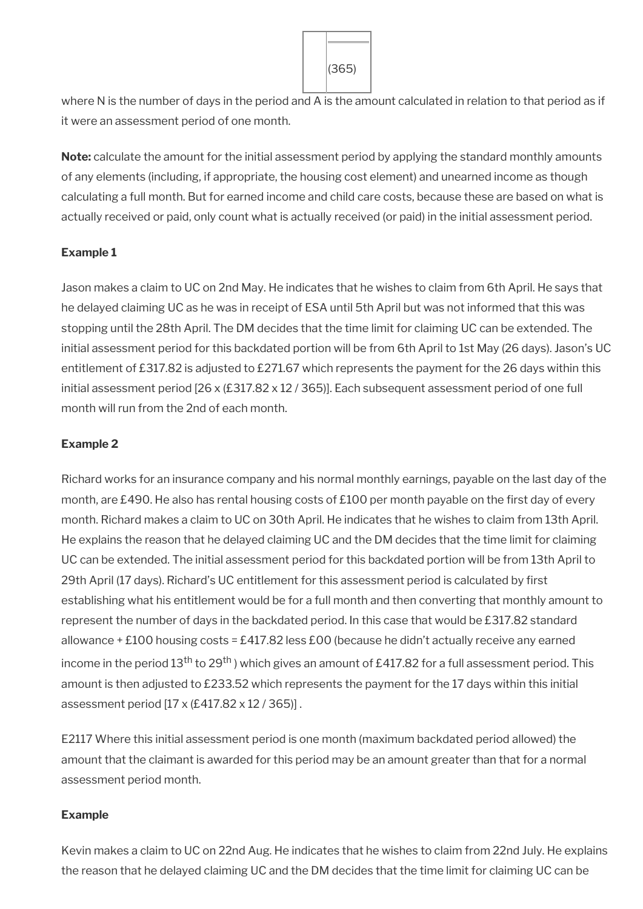

where N is the number of days in the period and A is the amount calculated in relation to that period as if it were an assessment period of one month.

**Note:** calculate the amount for the initial assessment period by applying the standard monthly amounts of any elements (including, if appropriate, the housing cost element) and unearned income as though calculating a full month. But for earned income and child care costs, because these are based on what is actually received or paid, only count what is actually received (or paid) in the initial assessment period.

#### **Example 1**

Jason makes a claim to UC on 2nd May. He indicates that he wishes to claim from 6th April. He says that he delayed claiming UC as he was in receipt of ESA until 5th April but was not informed that this was stopping until the 28th April. The DM decides that the time limit for claiming UC can be extended. The initial assessment period for this backdated portion will be from 6th April to 1st May (26 days). Jason's UC entitlement of £317.82 is adjusted to £271.67 which represents the payment for the 26 days within this initial assessment period [26 x (£317.82 x 12 / 365)]. Each subsequent assessment period of one full month will run from the 2nd of each month.

#### **Example 2**

Richard works for an insurance company and his normal monthly earnings, payable on the last day of the month, are £490. He also has rental housing costs of £100 per month payable on the first day of every month. Richard makes a claim to UC on 30th April. He indicates that he wishes to claim from 13th April. He explains the reason that he delayed claiming UC and the DM decides that the time limit for claiming UC can be extended. The initial assessment period for this backdated portion will be from 13th April to 29th April (17 days). Richard's UC entitlement for this assessment period is calculated by frst establishing what his entitlement would be for a full month and then converting that monthly amount to represent the number of days in the backdated period. In this case that would be £317.82 standard allowance + £100 housing costs = £417.82 less £00 (because he didn't actually receive any earned income in the period  $13<sup>th</sup>$  to  $29<sup>th</sup>$ ) which gives an amount of £417.82 for a full assessment period. This amount is then adjusted to £233.52 which represents the payment for the 17 days within this initial assessment period [17 x (£417.82 x 12 / 365)] .

E2117 Where this initial assessment period is one month (maximum backdated period allowed) the amount that the claimant is awarded for this period may be an amount greater than that for a normal assessment period month.

#### **Example**

Kevin makes a claim to UC on 22nd Aug. He indicates that he wishes to claim from 22nd July. He explains the reason that he delayed claiming UC and the DM decides that the time limit for claiming UC can be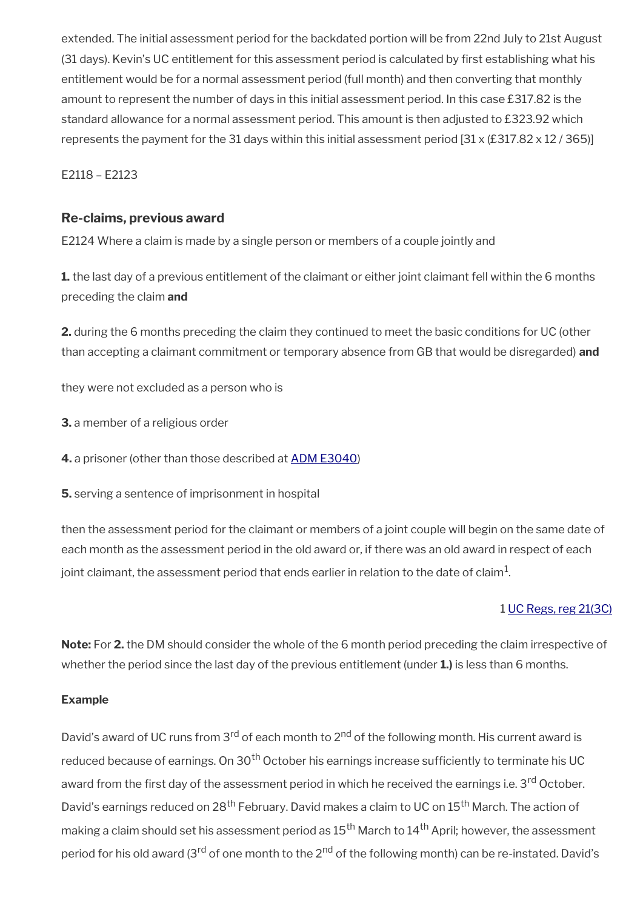extended. The initial assessment period for the backdated portion will be from 22nd July to 21st August (31 days). Kevin's UC entitlement for this assessment period is calculated by frst establishing what his entitlement would be for a normal assessment period (full month) and then converting that monthly amount to represent the number of days in this initial assessment period. In this case £317.82 is the standard allowance for a normal assessment period. This amount is then adjusted to £323.92 which represents the payment for the 31 days within this initial assessment period  $[31 \times (\text{\textsterling}317.82 \times 12 / 365)]$ 

E2118 – E2123

#### **Re-claims, previous award**

E2124 Where a claim is made by a single person or members of a couple jointly and

**1.** the last day of a previous entitlement of the claimant or either joint claimant fell within the 6 months preceding the claim **and**

**2.** during the 6 months preceding the claim they continued to meet the basic conditions for UC (other than accepting a claimant commitment or temporary absence from GB that would be disregarded) **and**

they were not excluded as a person who is

**3.** a member of a religious order

**4.** a prisoner (other than those described at [ADM E3040](http://intranet.dwp.gov.uk/manual/advice-decision-making-adm/prisoners-e3030-e3999#Conditions%20where%20a%20prisoner%20is%20entitled%20to%20UC))

**5.** serving a sentence of imprisonment in hospital

then the assessment period for the claimant or members of a joint couple will begin on the same date of each month as the assessment period in the old award or, if there was an old award in respect of each joint claimant, the assessment period that ends earlier in relation to the date of claim $^{\rm 1}$ .

#### 1 [UC Regs, reg 21\(3C\)](https://www.legislation.gov.uk/uksi/2013/376/regulation/21A)

**Note:** For **2.** the DM should consider the whole of the 6 month period preceding the claim irrespective of whether the period since the last day of the previous entitlement (under **1.)** is less than 6 months.

#### **Example**

David's award of UC runs from 3<sup>rd</sup> of each month to 2<sup>nd</sup> of the following month. His current award is reduced because of earnings. On 30<sup>th</sup> October his earnings increase sufficiently to terminate his UC award from the first day of the assessment period in which he received the earnings i.e. 3<sup>rd</sup> October. David's earnings reduced on 28<sup>th</sup> February. David makes a claim to UC on 15<sup>th</sup> March. The action of making a claim should set his assessment period as  $15^{\text{th}}$  March to  $14^{\text{th}}$  April; however, the assessment period for his old award (3<sup>rd</sup> of one month to the 2<sup>nd</sup> of the following month) can be re-instated. David's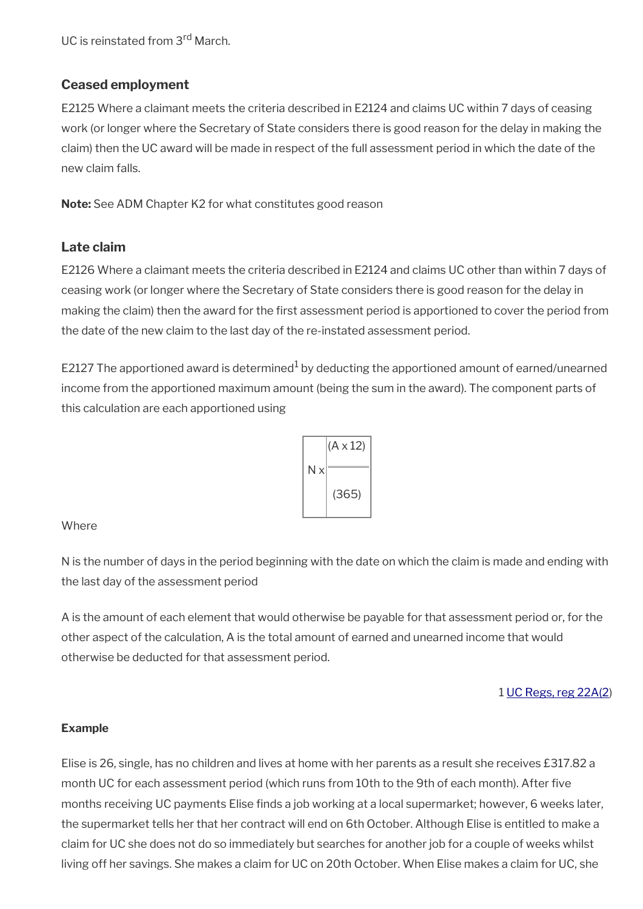UC is reinstated from 3<sup>rd</sup> March.

## **Ceased employment**

E2125 Where a claimant meets the criteria described in E2124 and claims UC within 7 days of ceasing work (or longer where the Secretary of State considers there is good reason for the delay in making the claim) then the UC award will be made in respect of the full assessment period in which the date of the new claim falls.

**Note:** See ADM Chapter K2 for what constitutes good reason

#### **Late claim**

E2126 Where a claimant meets the criteria described in E2124 and claims UC other than within 7 days of ceasing work (or longer where the Secretary of State considers there is good reason for the delay in making the claim) then the award for the frst assessment period is apportioned to cover the period from the date of the new claim to the last day of the re-instated assessment period.

E2127 The apportioned award is determined $^1$  by deducting the apportioned amount of earned/unearned income from the apportioned maximum amount (being the sum in the award). The component parts of this calculation are each apportioned using



#### Where

N is the number of days in the period beginning with the date on which the claim is made and ending with the last day of the assessment period

A is the amount of each element that would otherwise be payable for that assessment period or, for the other aspect of the calculation, A is the total amount of earned and unearned income that would otherwise be deducted for that assessment period.

1 [UC Regs, reg 22A\(2](https://www.legislation.gov.uk/uksi/2013/376/regulation/22A))

#### **Example**

Elise is 26, single, has no children and lives at home with her parents as a result she receives £317.82 a month UC for each assessment period (which runs from 10th to the 9th of each month). After fve months receiving UC payments Elise fnds a job working at a local supermarket; however, 6 weeks later, the supermarket tells her that her contract will end on 6th October. Although Elise is entitled to make a claim for UC she does not do so immediately but searches for another job for a couple of weeks whilst living off her savings. She makes a claim for UC on 20th October. When Elise makes a claim for UC, she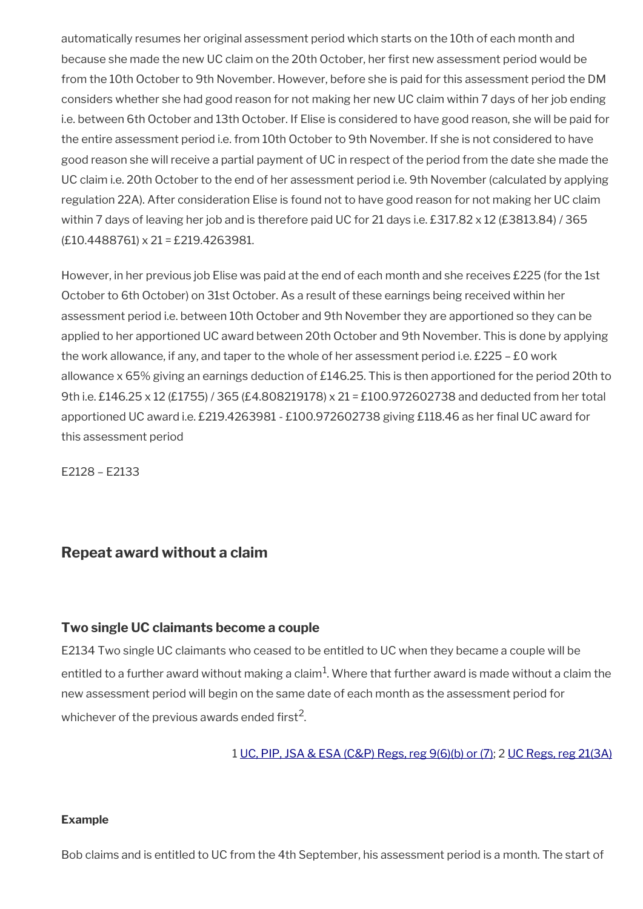automatically resumes her original assessment period which starts on the 10th of each month and because she made the new UC claim on the 20th October, her frst new assessment period would be from the 10th October to 9th November. However, before she is paid for this assessment period the DM considers whether she had good reason for not making her new UC claim within 7 days of her job ending i.e. between 6th October and 13th October. If Elise is considered to have good reason, she will be paid for the entire assessment period i.e. from 10th October to 9th November. If she is not considered to have good reason she will receive a partial payment of UC in respect of the period from the date she made the UC claim i.e. 20th October to the end of her assessment period i.e. 9th November (calculated by applying regulation 22A). After consideration Elise is found not to have good reason for not making her UC claim within 7 days of leaving her job and is therefore paid UC for 21 days i.e. £317.82 x 12 (£3813.84) / 365 (£10.4488761) x 21 = £219.4263981.

However, in her previous job Elise was paid at the end of each month and she receives £225 (for the 1st October to 6th October) on 31st October. As a result of these earnings being received within her assessment period i.e. between 10th October and 9th November they are apportioned so they can be applied to her apportioned UC award between 20th October and 9th November. This is done by applying the work allowance, if any, and taper to the whole of her assessment period i.e. £225 – £0 work allowance x 65% giving an earnings deduction of £146.25. This is then apportioned for the period 20th to 9th i.e. £146.25 x 12 (£1755) / 365 (£4.808219178) x 21 = £100.972602738 and deducted from her total apportioned UC award i.e. £219.4263981 - £100.972602738 giving £118.46 as her fnal UC award for this assessment period

E2128 – E2133

## <span id="page-26-0"></span>**Repeat award without a claim**

#### **Two single UC claimants become a couple**

E2134 Two single UC claimants who ceased to be entitled to UC when they became a couple will be entitled to a further award without making a claim $^1\!\!$ . Where that further award is made without a claim the new assessment period will begin on the same date of each month as the assessment period for whichever of the previous awards ended first<sup>2</sup>.

1 [UC, PIP, JSA & ESA \(C&P\) Regs, reg 9\(6\)\(b\) or \(7\)](https://www.legislation.gov.uk/uksi/2013/380/regulation/9); 2 [UC Regs, reg 21\(3A\)](https://www.legislation.gov.uk/uksi/2013/376/regulation/21)

#### **Example**

Bob claims and is entitled to UC from the 4th September, his assessment period is a month. The start of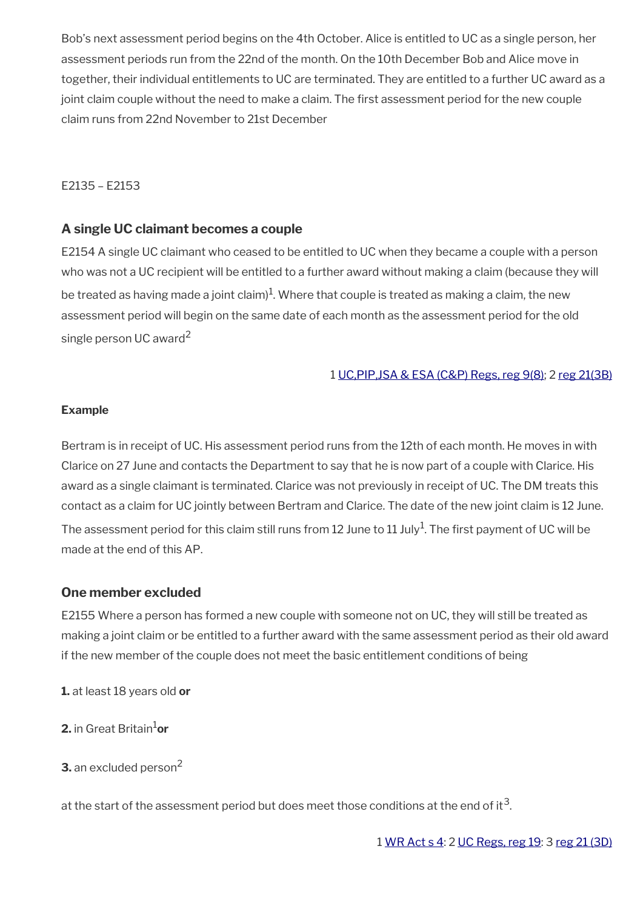Bob's next assessment period begins on the 4th October. Alice is entitled to UC as a single person, her assessment periods run from the 22nd of the month. On the 10th December Bob and Alice move in together, their individual entitlements to UC are terminated. They are entitled to a further UC award as a joint claim couple without the need to make a claim. The first assessment period for the new couple claim runs from 22nd November to 21st December

#### E2135 – E2153

#### **A single UC claimant becomes a couple**

E2154 A single UC claimant who ceased to be entitled to UC when they became a couple with a person who was not a UC recipient will be entitled to a further award without making a claim (because they will be treated as having made a joint claim) $^1$ . Where that couple is treated as making a claim, the new assessment period will begin on the same date of each month as the assessment period for the old single person UC award<sup>2</sup>

#### 1 [UC,PIP,JSA & ESA \(C&P\) Regs, reg 9\(8\)](https://www.legislation.gov.uk/uksi/2013/380/regulation/9); 2 [reg 21\(3B\)](https://www.legislation.gov.uk/uksi/2013/380/regulation/21)

#### **Example**

Bertram is in receipt of UC. His assessment period runs from the 12th of each month. He moves in with Clarice on 27 June and contacts the Department to say that he is now part of a couple with Clarice. His award as a single claimant is terminated. Clarice was not previously in receipt of UC. The DM treats this contact as a claim for UC jointly between Bertram and Clarice. The date of the new joint claim is 12 June. The assessment period for this claim still runs from 12 June to 11 July $^1$ . The first payment of UC will be made at the end of this AP.

#### **One member excluded**

E2155 Where a person has formed a new couple with someone not on UC, they will still be treated as making a joint claim or be entitled to a further award with the same assessment period as their old award if the new member of the couple does not meet the basic entitlement conditions of being

**1.** at least 18 years old **or**

**2.** in Great Britain1**or**

**3.** an excluded person<sup>2</sup>

at the start of the assessment period but does meet those conditions at the end of it $^{\rm 3}$ .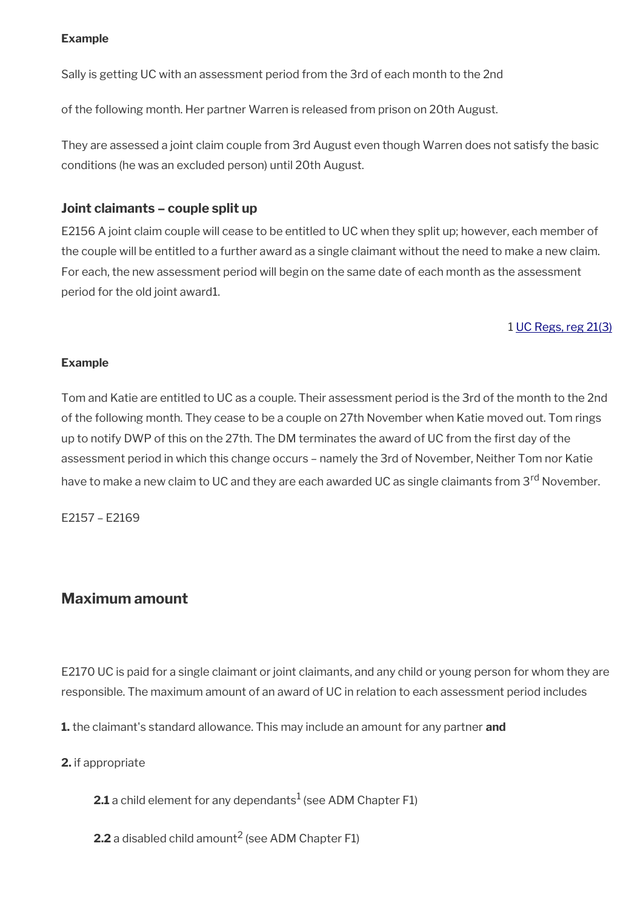#### **Example**

Sally is getting UC with an assessment period from the 3rd of each month to the 2nd

of the following month. Her partner Warren is released from prison on 20th August.

They are assessed a joint claim couple from 3rd August even though Warren does not satisfy the basic conditions (he was an excluded person) until 20th August.

#### **Joint claimants – couple split up**

E2156 A joint claim couple will cease to be entitled to UC when they split up; however, each member of the couple will be entitled to a further award as a single claimant without the need to make a new claim. For each, the new assessment period will begin on the same date of each month as the assessment period for the old joint award1.

#### 1 [UC Regs, reg 21\(3\)](https://www.legislation.gov.uk/uksi/2013/376/regulation/21)

#### **Example**

Tom and Katie are entitled to UC as a couple. Their assessment period is the 3rd of the month to the 2nd of the following month. They cease to be a couple on 27th November when Katie moved out. Tom rings up to notify DWP of this on the 27th. The DM terminates the award of UC from the first day of the assessment period in which this change occurs – namely the 3rd of November, Neither Tom nor Katie have to make a new claim to UC and they are each awarded UC as single claimants from 3<sup>rd</sup> November.

E2157 – E2169

## <span id="page-28-0"></span>**Maximum amount**

E2170 UC is paid for a single claimant or joint claimants, and any child or young person for whom they are responsible. The maximum amount of an award of UC in relation to each assessment period includes

**1.** the claimant's standard allowance. This may include an amount for any partner **and**

**2.** if appropriate

 $\mathbf{2.1}$  a child element for any dependants $^1$  (see ADM Chapter F1)

**2.2** a disabled child amount<sup>2</sup> (see ADM Chapter F1)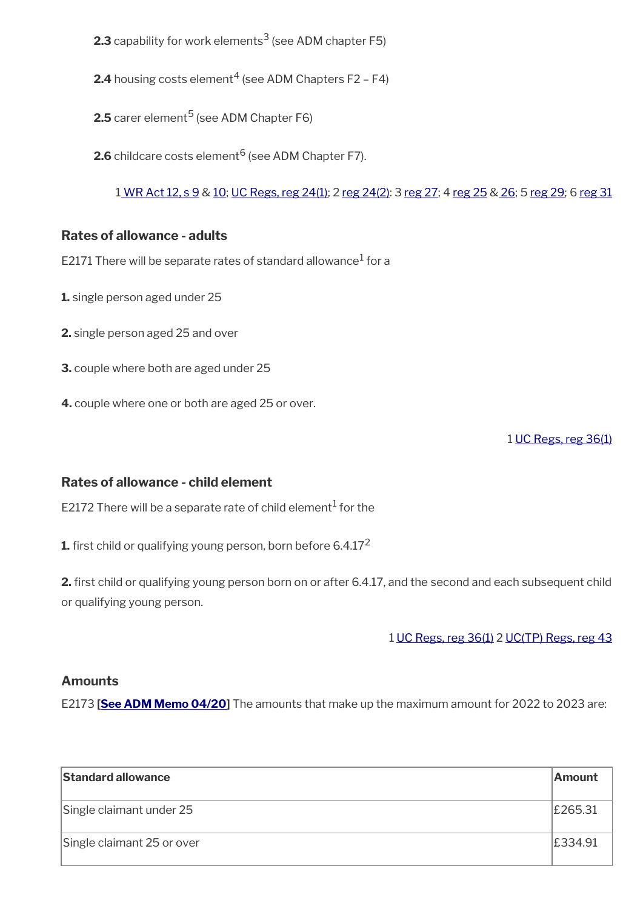- **2.3** capability for work elements $^3$  (see ADM chapter F5)
- **2.4** housing costs element $^4$  (see ADM Chapters F2 F4)
- $\mathsf{2.5}$  carer element $^5$  (see ADM Chapter F6)
- $\mathsf{2.6}$  childcare costs element $^6$  (see ADM Chapter F7).

[1 WR Act 12, s 9](https://www.legislation.gov.uk/ukpga/2012/5/section/9) & [10;](https://www.legislation.gov.uk/ukpga/2012/5/section/10) [UC Regs, reg 24\(1\);](https://www.legislation.gov.uk/uksi/2013/376/regulation/24) 2 [reg 24\(2\):](https://www.legislation.gov.uk/uksi/2013/376/regulation/24) 3 [reg 27;](https://www.legislation.gov.uk/uksi/2013/376/regulation/27) 4 [reg 25](https://www.legislation.gov.uk/uksi/2013/376/regulation/25) & [26](https://www.legislation.gov.uk/uksi/2013/376/regulation/26); 5 [reg 29;](https://www.legislation.gov.uk/uksi/2013/376/regulation/29) 6 [reg 31](https://www.legislation.gov.uk/uksi/2013/376/regulation/31)

#### **Rates of allowance - adults**

E2171 There will be separate rates of standard allowance $^1$  for a

- **1.** single person aged under 25
- **2.** single person aged 25 and over
- **3.** couple where both are aged under 25
- **4.** couple where one or both are aged 25 or over.

1 [UC Regs, reg 36\(1\)](https://www.legislation.gov.uk/uksi/2013/376/regulation/36)

#### **Rates of allowance - child element**

E2172 There will be a separate rate of child element $^{\rm 1}$  for the

**1.** first child or qualifying young person, born before 6.4.17<sup>2</sup>

**2.** frst child or qualifying young person born on or after 6.4.17, and the second and each subsequent child or qualifying young person.

1 [UC Regs, reg 36\(1\)](https://www.legislation.gov.uk/uksi/2013/376/regulation/36) 2 [UC\(TP\) Regs, reg 43](https://www.legislation.gov.uk/uksi/2014/1230/regulation/43)

#### **Amounts**

E2173 **[\[See ADM Memo 04/20\]](http://intranet.dwp.gov.uk/manual/advice-decision-making-adm/0420-jsa-and-uc-coronavirus-further-measures)** The amounts that make up the maximum amount for 2022 to 2023 are:

| <b>Standard allowance</b>  | <b>Amount</b> |
|----------------------------|---------------|
| Single claimant under 25   | £265.31       |
| Single claimant 25 or over | £334.91       |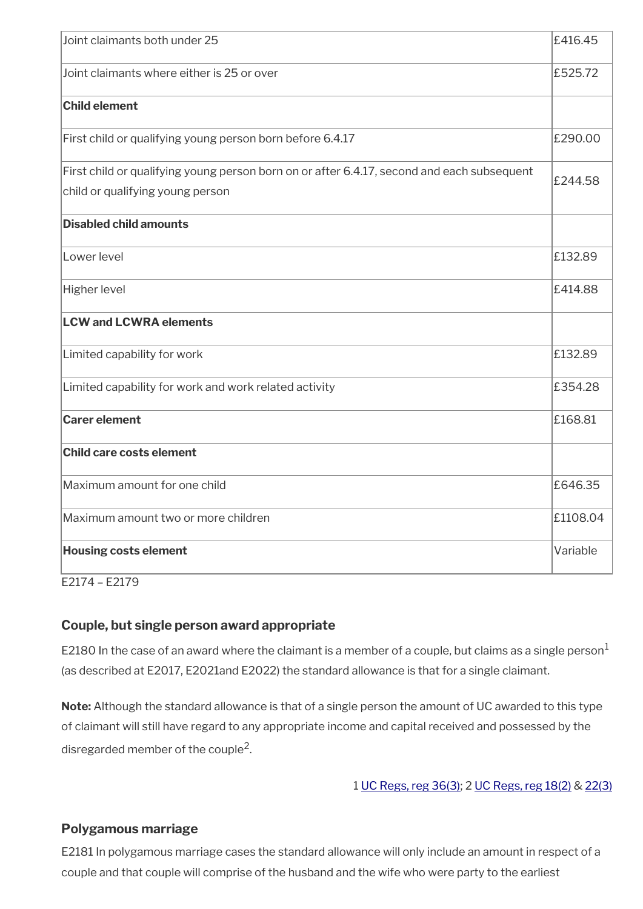| Joint claimants both under 25                                                                                                  | £416.45  |
|--------------------------------------------------------------------------------------------------------------------------------|----------|
| Joint claimants where either is 25 or over                                                                                     | £525.72  |
| <b>Child element</b>                                                                                                           |          |
| First child or qualifying young person born before 6.4.17                                                                      | £290.00  |
| First child or qualifying young person born on or after 6.4.17, second and each subsequent<br>child or qualifying young person | £244.58  |
| <b>Disabled child amounts</b>                                                                                                  |          |
| Lower level                                                                                                                    | £132.89  |
| <b>Higher level</b>                                                                                                            | £414.88  |
| <b>LCW and LCWRA elements</b>                                                                                                  |          |
| Limited capability for work                                                                                                    | £132.89  |
| Limited capability for work and work related activity                                                                          | £354.28  |
| <b>Carer element</b>                                                                                                           | £168.81  |
| <b>Child care costs element</b>                                                                                                |          |
| Maximum amount for one child                                                                                                   | £646.35  |
| Maximum amount two or more children                                                                                            | £1108.04 |
| <b>Housing costs element</b>                                                                                                   | Variable |
|                                                                                                                                |          |

E2174 – E2179

#### **Couple, but single person award appropriate**

E2180 In the case of an award where the claimant is a member of a couple, but claims as a single person $<sup>1</sup>$ </sup> (as described at E2017, E2021and E2022) the standard allowance is that for a single claimant.

**Note:** Although the standard allowance is that of a single person the amount of UC awarded to this type of claimant will still have regard to any appropriate income and capital received and possessed by the disregarded member of the couple<sup>2</sup>.

1 [UC Regs, reg 36\(3\)](https://www.legislation.gov.uk/uksi/2013/376/regulation/36); 2 [UC Regs, reg 18\(2\)](https://www.legislation.gov.uk/uksi/2013/376/regulation/18) & [22\(3\)](https://www.legislation.gov.uk/uksi/2013/376/regulation/22)

## **Polygamous marriage**

E2181 In polygamous marriage cases the standard allowance will only include an amount in respect of a couple and that couple will comprise of the husband and the wife who were party to the earliest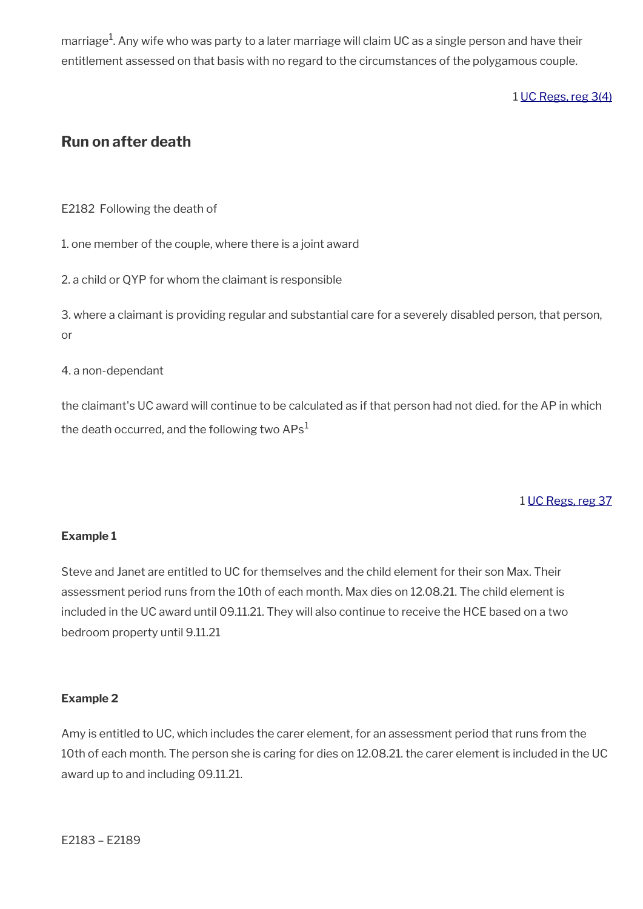marriage $^{\rm 1}$ . Any wife who was party to a later marriage will claim UC as a single person and have their entitlement assessed on that basis with no regard to the circumstances of the polygamous couple.

1 [UC Regs, reg 3\(4\)](https://www.legislation.gov.uk/uksi/2013/376/regulation/3)

## <span id="page-31-0"></span>**Run on after death**

E2182 Following the death of

1. one member of the couple, where there is a joint award

2. a child or QYP for whom the claimant is responsible

3. where a claimant is providing regular and substantial care for a severely disabled person, that person, or

4. a non-dependant

the claimant's UC award will continue to be calculated as if that person had not died. for the AP in which the death occurred, and the following two  $APs<sup>1</sup>$ 

## 1 [UC Regs, reg 37](https://www.legislation.gov.uk/uksi/2013/376/regulation/37)

#### **Example 1**

Steve and Janet are entitled to UC for themselves and the child element for their son Max. Their assessment period runs from the 10th of each month. Max dies on 12.08.21. The child element is included in the UC award until 09.11.21. They will also continue to receive the HCE based on a two bedroom property until 9.11.21

#### **Example 2**

Amy is entitled to UC, which includes the carer element, for an assessment period that runs from the 10th of each month. The person she is caring for dies on 12.08.21. the carer element is included in the UC award up to and including 09.11.21.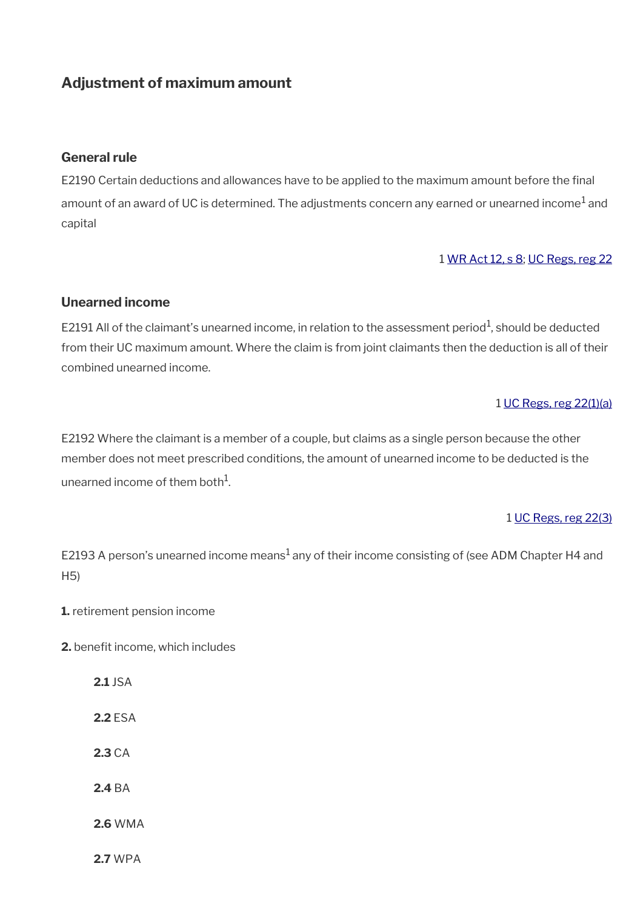## <span id="page-32-0"></span>**Adjustment of maximum amount**

#### **General rule**

E2190 Certain deductions and allowances have to be applied to the maximum amount before the final amount of an award of UC is determined. The adjustments concern any earned or unearned income $^1$  and capital

#### 1 [WR Act 12, s 8](https://www.legislation.gov.uk/ukpga/2012/5/section/8); [UC Regs, reg 22](https://www.legislation.gov.uk/uksi/2013/376/regulation/22)

#### **Unearned income**

E2191 All of the claimant's unearned income, in relation to the assessment period<sup>1</sup>, should be deducted from their UC maximum amount. Where the claim is from joint claimants then the deduction is all of their combined unearned income.

#### 1 [UC Regs, reg 22\(1\)\(a\)](https://www.legislation.gov.uk/uksi/2013/376/regulation/22)

E2192 Where the claimant is a member of a couple, but claims as a single person because the other member does not meet prescribed conditions, the amount of unearned income to be deducted is the unearned income of them both $^1$ .

#### 1 [UC Regs, reg 22\(3\)](https://www.legislation.gov.uk/uksi/2013/376/regulation/22)

E2193 A person's unearned income means $^1$  any of their income consisting of (see ADM Chapter H4 and H5)

- **1.** retirement pension income
- **2.** benefit income, which includes
	- **2.1** JSA **2.2** ESA
	- **2.3** CA
	- **2.4** BA
	- **2.6** WMA
	- **2.7** WPA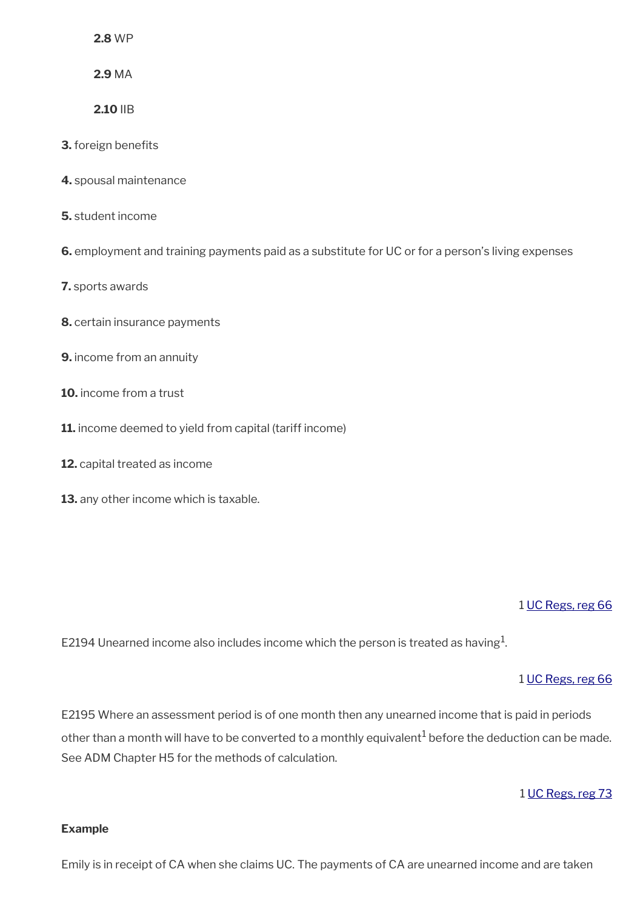**2.8** WP

**2.9** MA

**2.10** IIB

**3.** foreign benefits

- **4.** spousal maintenance
- **5.** student income

**6.** employment and training payments paid as a substitute for UC or for a person's living expenses

**7.** sports awards

- **8.** certain insurance payments
- **9.** income from an annuity
- **10.** income from a trust
- **11.** income deemed to yield from capital (tariff income)
- **12.** capital treated as income
- **13.** any other income which is taxable.

#### 1 [UC Regs, reg 66](https://www.legislation.gov.uk/uksi/2013/376/regulation/66)

E2194 Unearned income also includes income which the person is treated as having $^1\!$ 

#### 1 [UC Regs, reg 66](https://www.legislation.gov.uk/uksi/2013/376/regulation/66)

E2195 Where an assessment period is of one month then any unearned income that is paid in periods other than a month will have to be converted to a monthly equivalent $^1$  before the deduction can be made. See ADM Chapter H5 for the methods of calculation.

#### 1 [UC Regs, reg 73](https://www.legislation.gov.uk/uksi/2013/376/regulation/73)

#### **Example**

Emily is in receipt of CA when she claims UC. The payments of CA are unearned income and are taken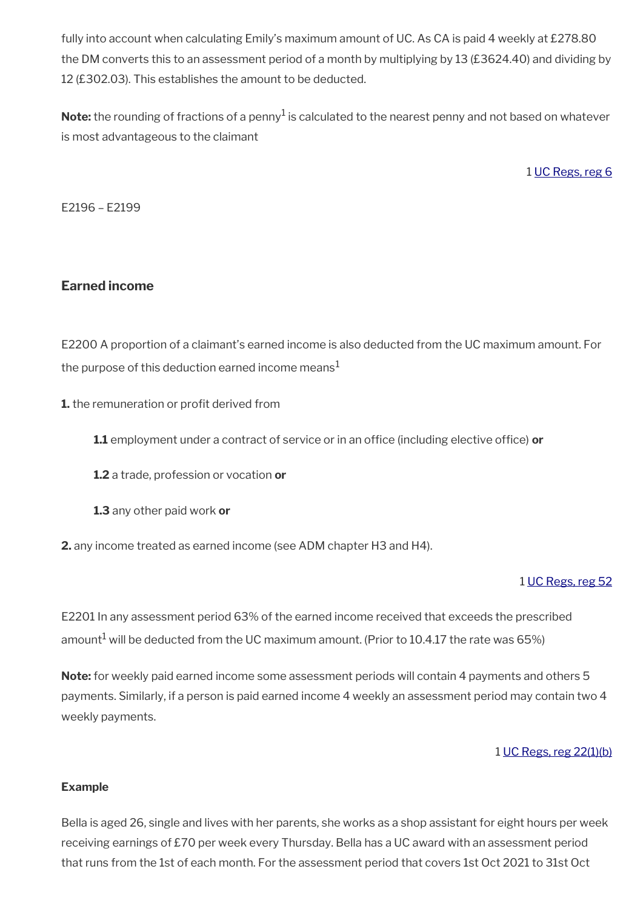fully into account when calculating Emily's maximum amount of UC. As CA is paid 4 weekly at £278.80 the DM converts this to an assessment period of a month by multiplying by 13 (£3624.40) and dividing by 12 (£302.03). This establishes the amount to be deducted.

 $\mathsf{Note:}$  the rounding of fractions of a penny $^1$  is calculated to the nearest penny and not based on whatever is most advantageous to the claimant

1 [UC Regs, reg 6](https://www.legislation.gov.uk/uksi/2013/376/regulation/6)

E2196 – E2199

## **Earned income**

E2200 A proportion of a claimant's earned income is also deducted from the UC maximum amount. For the purpose of this deduction earned income means<sup>1</sup>

**1.** the remuneration or profit derived from

**1.1** employment under a contract of service or in an office (including elective office) or

**1.2** a trade, profession or vocation **or**

**1.3** any other paid work **or**

**2.** any income treated as earned income (see ADM chapter H3 and H4).

#### 1 [UC Regs, reg 52](https://www.legislation.gov.uk/uksi/2013/376/regulation/52)

E2201 In any assessment period 63% of the earned income received that exceeds the prescribed amount $^1$  will be deducted from the UC maximum amount. (Prior to 10.4.17 the rate was 65%)

**Note:** for weekly paid earned income some assessment periods will contain 4 payments and others 5 payments. Similarly, if a person is paid earned income 4 weekly an assessment period may contain two 4 weekly payments.

#### 1 [UC Regs, reg 22\(1\)\(b\)](https://www.legislation.gov.uk/uksi/2013/376/regulation/22)

#### **Example**

Bella is aged 26, single and lives with her parents, she works as a shop assistant for eight hours per week receiving earnings of £70 per week every Thursday. Bella has a UC award with an assessment period that runs from the 1st of each month. For the assessment period that covers 1st Oct 2021 to 31st Oct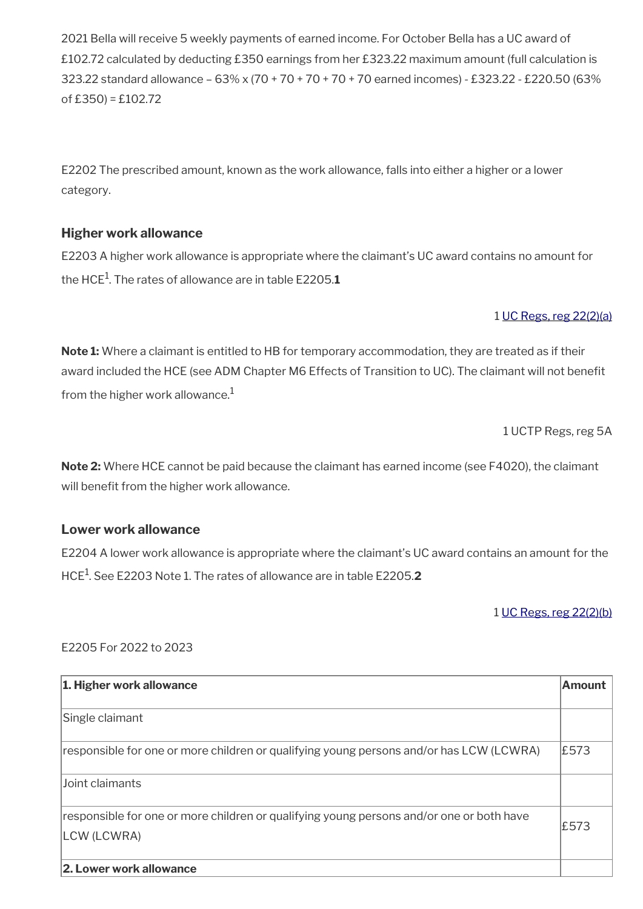2021 Bella will receive 5 weekly payments of earned income. For October Bella has a UC award of £102.72 calculated by deducting £350 earnings from her £323.22 maximum amount (full calculation is 323.22 standard allowance – 63% x (70 + 70 + 70 + 70 + 70 earned incomes) - £323.22 - £220.50 (63% of  $£350$  = £102.72

E2202 The prescribed amount, known as the work allowance, falls into either a higher or a lower category.

## **Higher work allowance**

E2203 A higher work allowance is appropriate where the claimant's UC award contains no amount for the HCE<sup>1</sup> . The rates of allowance are in table E2205.**1** 

#### 1 [UC Regs, reg 22\(2\)\(a\)](https://www.legislation.gov.uk/uksi/2013/376/regulation/22)

**Note 1:** Where a claimant is entitled to HB for temporary accommodation, they are treated as if their award included the HCE (see ADM Chapter M6 Effects of Transition to UC). The claimant will not benefit from the higher work allowance. $<sup>1</sup>$ </sup>

1 UCTP Regs, reg 5A

**Note 2:** Where HCE cannot be paid because the claimant has earned income (see F4020), the claimant will benefit from the higher work allowance.

#### **Lower work allowance**

E2204 A lower work allowance is appropriate where the claimant's UC award contains an amount for the HCE<sup>1</sup> . See E2203 Note 1. The rates of allowance are in table E2205.**2**

#### 1 [UC Regs, reg 22\(2\)\(b\)](https://www.legislation.gov.uk/uksi/2013/376/regulation/22)

#### E2205 For 2022 to 2023

| 1. Higher work allowance                                                                                | Amount |
|---------------------------------------------------------------------------------------------------------|--------|
| Single claimant                                                                                         |        |
| responsible for one or more children or qualifying young persons and/or has LCW (LCWRA)                 | £573   |
| Joint claimants                                                                                         |        |
| responsible for one or more children or qualifying young persons and/or one or both have<br>LCW (LCWRA) | £573   |
| 2. Lower work allowance                                                                                 |        |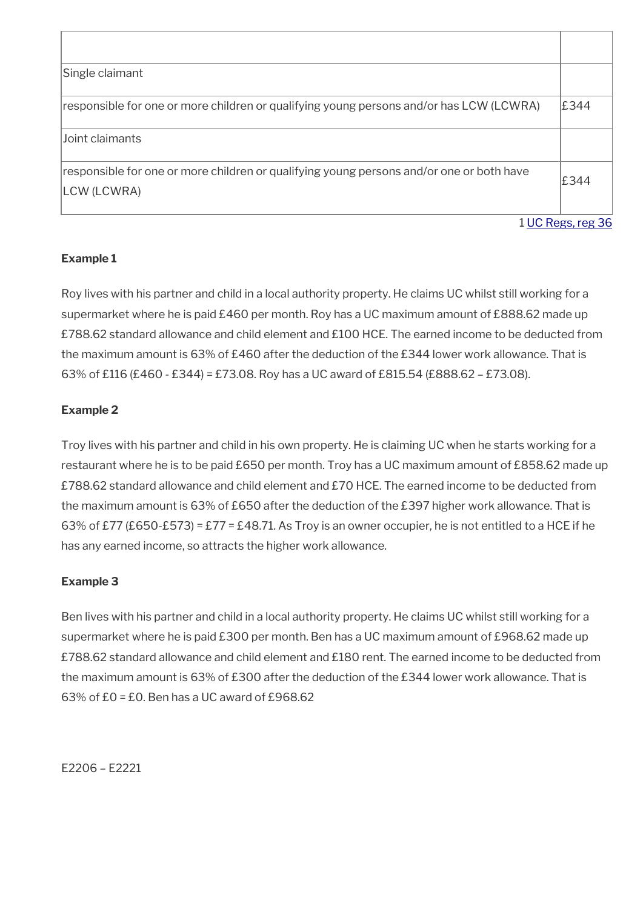| Single claimant                                                                                         |                   |
|---------------------------------------------------------------------------------------------------------|-------------------|
| responsible for one or more children or qualifying young persons and/or has LCW (LCWRA)                 | £344              |
| lJoint claimants                                                                                        |                   |
| responsible for one or more children or qualifying young persons and/or one or both have<br>LCW (LCWRA) | £344              |
|                                                                                                         | 1 UC Regs, reg 36 |

## **Example 1**

Roy lives with his partner and child in a local authority property. He claims UC whilst still working for a supermarket where he is paid £460 per month. Roy has a UC maximum amount of £888.62 made up £788.62 standard allowance and child element and £100 HCE. The earned income to be deducted from the maximum amount is 63% of £460 after the deduction of the £344 lower work allowance. That is 63% of £116 (£460 - £344) = £73.08. Roy has a UC award of £815.54 (£888.62 – £73.08).

## **Example 2**

Troy lives with his partner and child in his own property. He is claiming UC when he starts working for a restaurant where he is to be paid £650 per month. Troy has a UC maximum amount of £858.62 made up £788.62 standard allowance and child element and £70 HCE. The earned income to be deducted from the maximum amount is 63% of £650 after the deduction of the £397 higher work allowance. That is 63% of £77 (£650-£573) = £77 = £48.71. As Troy is an owner occupier, he is not entitled to a HCE if he has any earned income, so attracts the higher work allowance.

#### **Example 3**

Ben lives with his partner and child in a local authority property. He claims UC whilst still working for a supermarket where he is paid £300 per month. Ben has a UC maximum amount of £968.62 made up £788.62 standard allowance and child element and £180 rent. The earned income to be deducted from the maximum amount is 63% of £300 after the deduction of the £344 lower work allowance. That is 63% of £0 = £0. Ben has a UC award of £968.62

E2206 – E2221